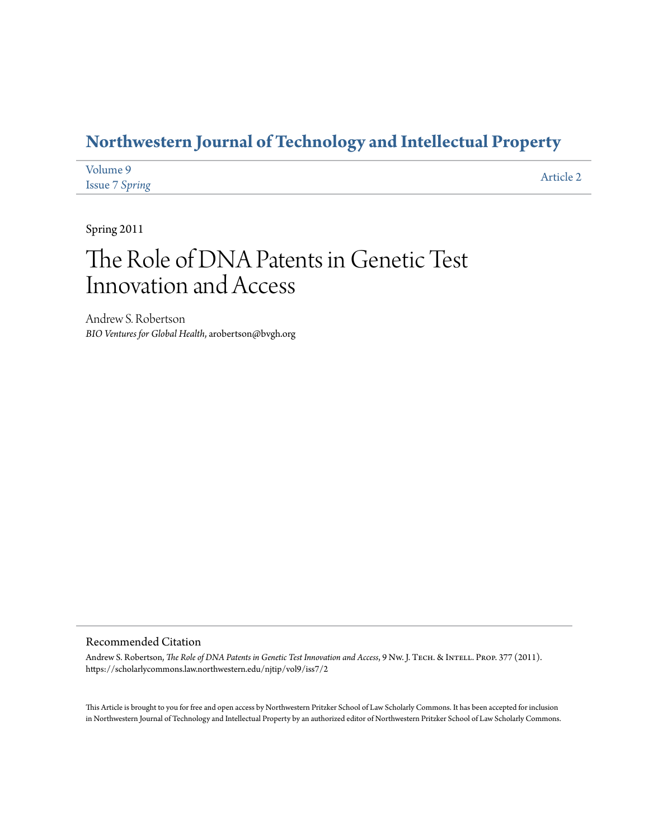### **[Northwestern Journal of Technology and Intellectual Property](https://scholarlycommons.law.northwestern.edu/njtip)**

| Volume 9              | Article 2 |
|-----------------------|-----------|
| <b>Issue 7 Spring</b> |           |

Spring 2011

# The Role of DNA Patents in Genetic Test Innovation and Access

Andrew S. Robertson *BIO Ventures for Global Health*, arobertson@bvgh.org

#### Recommended Citation

Andrew S. Robertson, *The Role of DNA Patents in Genetic Test Innovation and Access*, 9 Nw. J. TECH. & INTELL. PROP. 377 (2011). https://scholarlycommons.law.northwestern.edu/njtip/vol9/iss7/2

This Article is brought to you for free and open access by Northwestern Pritzker School of Law Scholarly Commons. It has been accepted for inclusion in Northwestern Journal of Technology and Intellectual Property by an authorized editor of Northwestern Pritzker School of Law Scholarly Commons.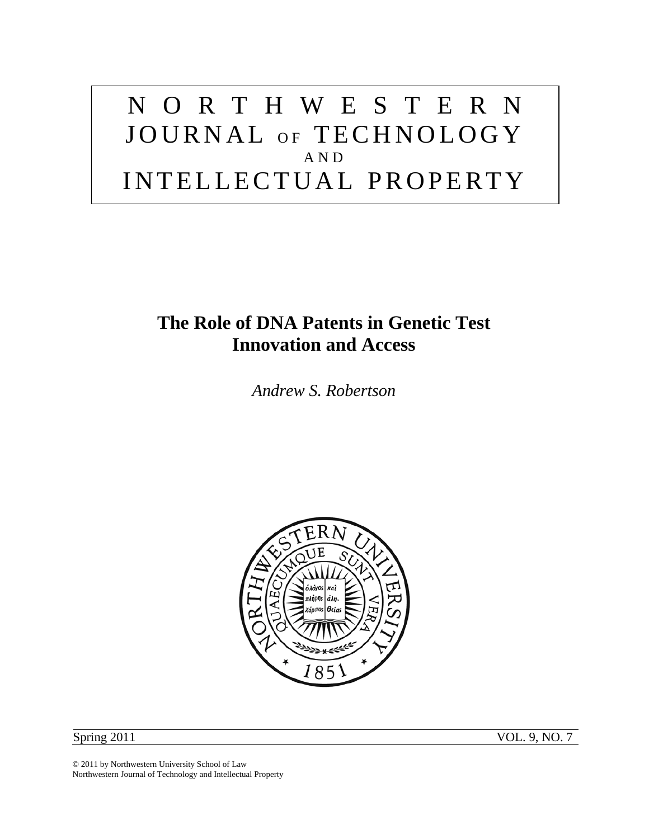# NORTHWESTERN JOURNAL OF TECHNOLOGY AND INTELLECTUAL PROPERTY

### **The Role of DNA Patents in Genetic Test Innovation and Access**

*Andrew S. Robertson* 



Spring 2011 VOL. 9, NO. 7

© 2011 by Northwestern University School of Law Northwestern Journal of Technology and Intellectual Property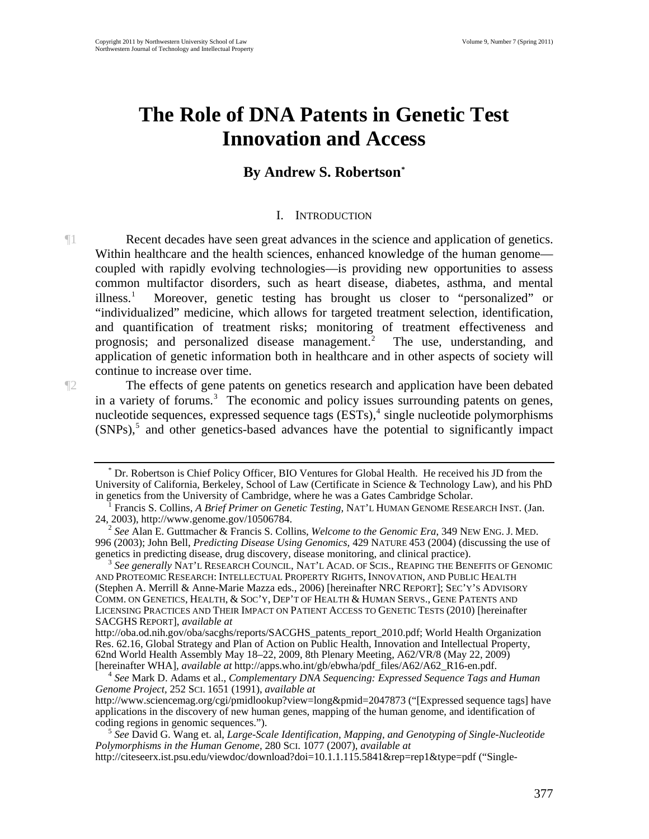## **The Role of DNA Patents in Genetic Test Innovation and Access**

### **By Andrew S. Robertson[\\*](#page-2-0)**

#### I. INTRODUCTION

¶1 Recent decades have seen great advances in the science and application of genetics. Within healthcare and the health sciences, enhanced knowledge of the human genome coupled with rapidly evolving technologies—is providing new opportunities to assess common multifactor disorders, such as heart disease, diabetes, asthma, and mental illness. $<sup>1</sup>$  $<sup>1</sup>$  $<sup>1</sup>$ </sup> Moreover, genetic testing has brought us closer to "personalized" or "individualized" medicine, which allows for targeted treatment selection, identification, and quantification of treatment risks; monitoring of treatment effectiveness and prognosis; and personalized disease management.<sup>[2](#page-2-2)</sup> The use, understanding, and application of genetic information both in healthcare and in other aspects of society will continue to increase over time.

¶2 The effects of gene patents on genetics research and application have been debated in a variety of forums.<sup>[3](#page-2-3)</sup> The economic and policy issues surrounding patents on genes, nucleotide sequences, expressed sequence tags (ESTs),<sup>[4](#page-2-4)</sup> single nucleotide polymorphisms  $(SNPs)$ ,<sup>[5](#page-2-5)</sup> and other genetics-based advances have the potential to significantly impact

<span id="page-2-5"></span> *See* David G. Wang et. al, *Large-Scale Identification, Mapping, and Genotyping of Single-Nucleotide Polymorphisms in the Human Genome,* 280 SCI. 1077 (2007), *available at*  http://citeseerx.ist.psu.edu/viewdoc/download?doi=10.1.1.115.5841&rep=rep1&type=pdf ("Single-

<span id="page-2-0"></span><sup>\*</sup> Dr. Robertson is Chief Policy Officer, BIO Ventures for Global Health. He received his JD from the University of California, Berkeley, School of Law (Certificate in Science & Technology Law), and his PhD in genetics from the University of Cambridge, where he was a Gates Cambridge Scholar. 1

<span id="page-2-1"></span><sup>&</sup>lt;sup>1</sup> Francis S. Collins, *A Brief Primer on Genetic Testing*, NAT'L HUMAN GENOME RESEARCH INST. (Jan. 24, 2003), http://www.genome.gov/10506784.

<span id="page-2-2"></span><sup>24, 2003),</sup> http://www.genome.gov/10506784. 2 *See* Alan E. Guttmacher & Francis S. Collins, *Welcome to the Genomic Era*, 349 NEW ENG. J. MED. 996 (2003); John Bell, *Predicting Disease Using Genomics,* 429 NATURE 453 (2004) (discussing the use of

<span id="page-2-3"></span><sup>&</sup>lt;sup>3</sup> See generally NAT'L RESEARCH COUNCIL, NAT'L ACAD. OF SCIS., REAPING THE BENEFITS OF GENOMIC AND PROTEOMIC RESEARCH: INTELLECTUAL PROPERTY RIGHTS, INNOVATION, AND PUBLIC HEALTH (Stephen A. Merrill & Anne-Marie Mazza eds., 2006) [hereinafter NRC REPORT]; SEC'Y'S ADVISORY COMM. ON GENETICS, HEALTH, & SOC'Y, DEP'T OF HEALTH & HUMAN SERVS., GENE PATENTS AND LICENSING PRACTICES AND THEIR IMPACT ON PATIENT ACCESS TO GENETIC TESTS (2010) [hereinafter SACGHS REPORT], *available at*

http://oba.od.nih.gov/oba/sacghs/reports/SACGHS\_patents\_report\_2010.pdf; World Health Organization Res. 62.16, Global Strategy and Plan of Action on Public Health, Innovation and Intellectual Property, 62nd World Health Assembly May 18–22, 2009, 8th Plenary Meeting, A62/VR/8 (May 22, 2009)<br>[hereinafter WHA], *available at* http://apps.who.int/gb/ebwha/pdf\_files/A62/A62\_R16-en.pdf.

<span id="page-2-4"></span><sup>&</sup>lt;sup>4</sup> See Mark D. Adams et al., *Complementary DNA Sequencing: Expressed Sequence Tags and Human Genome Project,* 252 SCI. 1651 (1991), *available at* http://www.sciencemag.org/cgi/pmidlookup?view=long&pmid=2047873 ("[Expressed sequence tags] have

applications in the discovery of new human genes, mapping of the human genome, and identification of coding regions in genomic sequences.").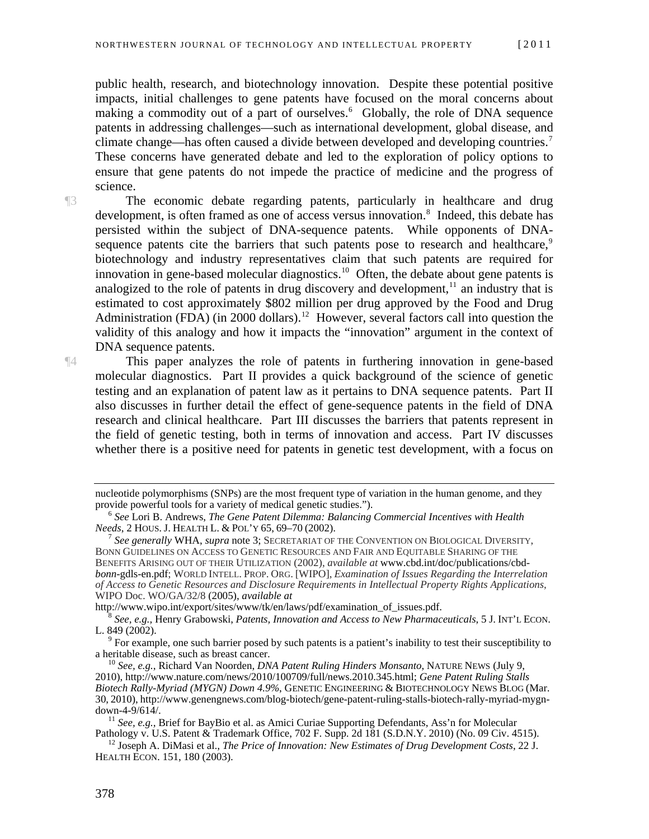public health, research, and biotechnology innovation. Despite these potential positive impacts, initial challenges to gene patents have focused on the moral concerns about making a commodity out of a part of ourselves.<sup>6</sup> Globally, the role of DNA sequence patents in addressing challenges—such as international development, global disease, and climate change—has often caused a divide between developed and developing countries.<sup>7</sup> These concerns have generated debate and led to the exploration of policy options to ensure that gene patents do not impede the practice of medicine and the progress of science.

¶3 The economic debate regarding patents, particularly in healthcare and drug development, is often framed as one of access versus innovation.<sup>8</sup> Indeed, this debate has persisted within the subject of DNA-sequence patents. While opponents of DNA-sequence patents cite the barriers that such patents pose to research and healthcare,<sup>[9](#page-3-1)</sup> biotechnology and industry representatives claim that such patents are required for innovation in gene-based molecular diagnostics.<sup>10</sup> Often, the debate about gene patents is analogized to the role of patents in drug discovery and development, $11$  an industry that is estimated to cost approximately \$802 million per drug approved by the Food and Drug Administration (FDA) (in 2000 dollars).<sup>[12](#page-3-4)</sup> However, several factors call into question the validity of this analogy and how it impacts the "innovation" argument in the context of DNA sequence patents.

¶4 This paper analyzes the role of patents in furthering innovation in gene-based molecular diagnostics. Part II provides a quick background of the science of genetic testing and an explanation of patent law as it pertains to DNA sequence patents. Part II also discusses in further detail the effect of gene-sequence patents in the field of DNA research and clinical healthcare. Part III discusses the barriers that patents represent in the field of genetic testing, both in terms of innovation and access. Part IV discusses whether there is a positive need for patents in genetic test development, with a focus on

<span id="page-3-0"></span>http://www.wipo.int/export/sites/www/tk/en/laws/pdf/examination\_of\_issues.pdf. 8 *See, e.g.,* Henry Grabowski, *Patents, Innovation and Access to New Pharmaceuticals*, 5 J. INT'L ECON. L.  $849(2002)$ .

nucleotide polymorphisms (SNPs) are the most frequent type of variation in the human genome, and they provide powerful tools for a variety of medical genetic studies.").

<sup>&</sup>lt;sup>6</sup> See Lori B. Andrews, *The Gene Patent Dilemma: Balancing Commercial Incentives with Health Needs*, 2 HOUS. J. HEALTH L. & POL'Y 65, 69–70 (2002).

<sup>&</sup>lt;sup>7</sup> See generally WHA, *supra* note 3; SECRETARIAT OF THE CONVENTION ON BIOLOGICAL DIVERSITY, BONN GUIDELINES ON ACCESS TO GENETIC RESOURCES AND FAIR AND EQUITABLE SHARING OF THE BENEFITS ARISING OUT OF THEIR UTILIZATION (2002), *available at* www.cbd.int/doc/publications/cbd*bonn*-gdls-en.pdf; WORLD INTELL. PROP. ORG. [WIPO], *Examination of Issues Regarding the Interrelation of Access to Genetic Resources and Disclosure Requirements in Intellectual Property Rights Applications*, WIPO Doc. WO/GA/32/8 (2005), *available at*

<span id="page-3-1"></span><sup>&</sup>lt;sup>9</sup> For example, one such barrier posed by such patents is a patient's inability to test their susceptibility to a heritable disease, such as breast cancer.

<span id="page-3-2"></span><sup>&</sup>lt;sup>10</sup> See, e.g., Richard Van Noorden, *DNA Patent Ruling Hinders Monsanto*, NATURE NEWS (July 9, 2010), http://www.nature.com/news/2010/100709/full/news.2010.345.html; *Gene Patent Ruling Stalls Biotech Rally-Myriad (MYGN) Down 4.9%*, GENETIC ENGINEERING & BIOTECHNOLOGY NEWS BLOG (Mar. 30, 2010), http://www.genengnews.com/blog-biotech/gene-patent-ruling-stalls-biotech-rally-myriad-mygn-

<span id="page-3-3"></span><sup>&</sup>lt;sup>11</sup> *See, e.g.*, Brief for BayBio et al. as Amici Curiae Supporting Defendants, Ass'n for Molecular Pathology v. U.S. Patent & Trademark Office, 702 F. Supp. 2d 181 (S.D.N.Y. 2010) (No. 09 Civ. 4515).

<span id="page-3-4"></span><sup>&</sup>lt;sup>12</sup> Joseph A. DiMasi et al., *The Price of Innovation: New Estimates of Drug Development Costs*, 22 J. HEALTH ECON. 151, 180 (2003).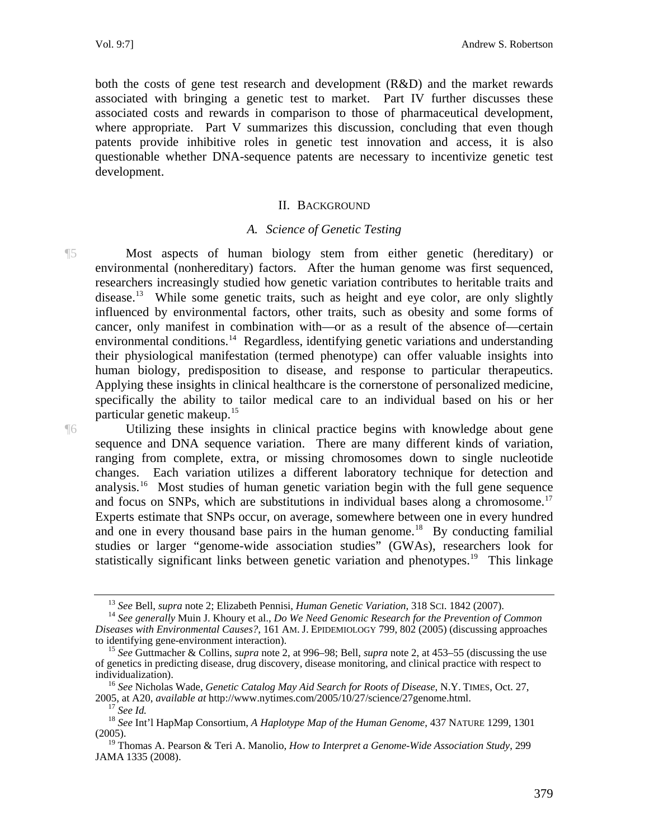both the costs of gene test research and development (R&D) and the market rewards associated with bringing a genetic test to market. Part IV further discusses these associated costs and rewards in comparison to those of pharmaceutical development, where appropriate. Part V summarizes this discussion, concluding that even though patents provide inhibitive roles in genetic test innovation and access, it is also questionable whether DNA-sequence patents are necessary to incentivize genetic test development.

#### II. BACKGROUND

#### *A. Science of Genetic Testing*

¶5 Most aspects of human biology stem from either genetic (hereditary) or environmental (nonhereditary) factors. After the human genome was first sequenced, researchers increasingly studied how genetic variation contributes to heritable traits and disease.<sup>[13](#page-4-0)</sup> While some genetic traits, such as height and eye color, are only slightly influenced by environmental factors, other traits, such as obesity and some forms of cancer, only manifest in combination with—or as a result of the absence of—certain environmental conditions.<sup>[14](#page-4-1)</sup> Regardless, identifying genetic variations and understanding their physiological manifestation (termed phenotype) can offer valuable insights into human biology, predisposition to disease, and response to particular therapeutics. Applying these insights in clinical healthcare is the cornerstone of personalized medicine, specifically the ability to tailor medical care to an individual based on his or her particular genetic makeup.[15](#page-4-2)

¶6 Utilizing these insights in clinical practice begins with knowledge about gene sequence and DNA sequence variation. There are many different kinds of variation, ranging from complete, extra, or missing chromosomes down to single nucleotide changes. Each variation utilizes a different laboratory technique for detection and analysis.[16](#page-4-3) Most studies of human genetic variation begin with the full gene sequence and focus on SNPs, which are substitutions in individual bases along a chromosome.<sup>[17](#page-4-4)</sup> Experts estimate that SNPs occur, on average, somewhere between one in every hundred and one in every thousand base pairs in the human genome.<sup>[18](#page-4-5)</sup> By conducting familial studies or larger "genome-wide association studies" (GWAs), researchers look for statistically significant links between genetic variation and phenotypes.<sup>[19](#page-4-6)</sup> This linkage

<sup>&</sup>lt;sup>13</sup> See Bell, supra note 2; Elizabeth Pennisi, *Human Genetic Variation*, 318 SCI. 1842 (2007).<br><sup>14</sup> See generally Muin J. Khoury et al., *Do We Need Genomic Research for the Prevention of Common* 

<span id="page-4-1"></span><span id="page-4-0"></span>*Diseases with Environmental Causes?*, 161 AM. J. EPIDEMIOLOGY 799, 802 (2005) (discussing approaches

<span id="page-4-2"></span><sup>&</sup>lt;sup>15</sup> See Guttmacher & Collins, *supra* note 2, at 996–98; Bell, *supra* note 2, at 453–55 (discussing the use of genetics in predicting disease, drug discovery, disease monitoring, and clinical practice with respect to

<span id="page-4-3"></span><sup>&</sup>lt;sup>16</sup> *See* Nicholas Wade, *Genetic Catalog May Aid Search for Roots of Disease*, N.Y. TIMES, Oct. 27, 2005, at A20, *available at http://www.nytimes.com/2005/10/27/science/27genome.html.* 

<span id="page-4-5"></span><span id="page-4-4"></span><sup>&</sup>lt;sup>17</sup> See Id.<br><sup>18</sup> See Int'l HapMap Consortium, *A Haplotype Map of the Human Genome*, 437 NATURE 1299, 1301 (2005).

<span id="page-4-6"></span><sup>19</sup> Thomas A. Pearson & Teri A. Manolio, *How to Interpret a Genome-Wide Association Study*, 299 JAMA 1335 (2008).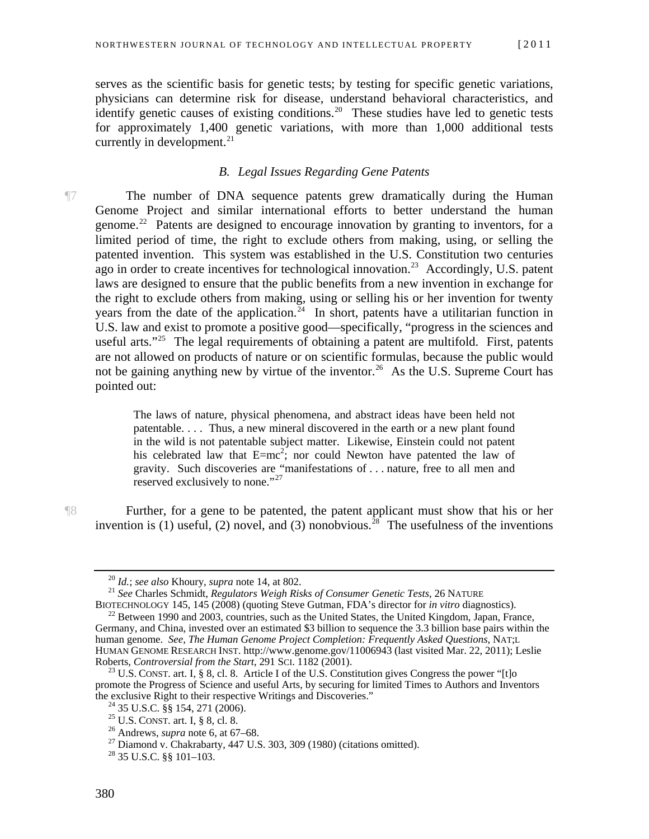serves as the scientific basis for genetic tests; by testing for specific genetic variations, physicians can determine risk for disease, understand behavioral characteristics, and identify genetic causes of existing conditions.<sup>20</sup> These studies have led to genetic tests for approximately 1,400 genetic variations, with more than 1,000 additional tests currently in development. $21$ 

#### *B. Legal Issues Regarding Gene Patents*

¶7 The number of DNA sequence patents grew dramatically during the Human Genome Project and similar international efforts to better understand the human genome.<sup>[22](#page-5-0)</sup> Patents are designed to encourage innovation by granting to inventors, for a limited period of time, the right to exclude others from making, using, or selling the patented invention. This system was established in the U.S. Constitution two centuries ago in order to create incentives for technological innovation.<sup>[23](#page-5-1)</sup> Accordingly, U.S. patent laws are designed to ensure that the public benefits from a new invention in exchange for the right to exclude others from making, using or selling his or her invention for twenty years from the date of the application.<sup>[24](#page-5-2)</sup> In short, patents have a utilitarian function in U.S. law and exist to promote a positive good—specifically, "progress in the sciences and useful arts."<sup>[25](#page-5-3)</sup> The legal requirements of obtaining a patent are multifold. First, patents are not allowed on products of nature or on scientific formulas, because the public would not be gaining anything new by virtue of the inventor.<sup>26</sup> As the U.S. Supreme Court has pointed out:

> The laws of nature, physical phenomena, and abstract ideas have been held not patentable. . . . Thus, a new mineral discovered in the earth or a new plant found in the wild is not patentable subject matter. Likewise, Einstein could not patent his celebrated law that  $E=mc^2$ ; nor could Newton have patented the law of gravity. Such discoveries are "manifestations of . . . nature, free to all men and reserved exclusively to none."<sup>[27](#page-5-5)</sup>

¶8 Further, for a gene to be patented, the patent applicant must show that his or her invention is (1) useful, (2) novel, and (3) nonobvious.<sup>[28](#page-5-6)</sup> The usefulness of the inventions

<sup>&</sup>lt;sup>20</sup> *Id.*; *see also* Khoury, *supra* note 14, at 802.<br><sup>21</sup> *See* Charles Schmidt, *Regulators Weigh Risks of Consumer Genetic Tests*, 26 NATURE BIOTECHNOLOGY 145, 145 (2008) (quoting Steve Gutman, FDA's director for *in* 

<span id="page-5-0"></span><sup>&</sup>lt;sup>22</sup> Between 1990 and 2003, countries, such as the United States, the United Kingdom, Japan, France, Germany, and China, invested over an estimated \$3 billion to sequence the 3.3 billion base pairs within the human genome. *See, The Human Genome Project Completion: Frequently Asked Questions*, NAT;L HUMAN GENOME RESEARCH INST. http://www.genome.gov/11006943 (last visited Mar. 22, 2011); Leslie Roberts, Controversial from the Start, 291 SCI. 1182 (2001).

<span id="page-5-3"></span><span id="page-5-2"></span><span id="page-5-1"></span><sup>&</sup>lt;sup>23</sup> U.S. CONST. art. I, § 8, cl. 8. Article I of the U.S. Constitution gives Congress the power "[t]o promote the Progress of Science and useful Arts, by securing for limited Times to Authors and Inventors the exclusive Right to their respective Writings and Discoveries."<br> $^{24}$  35 U.S.C. §§ 154, 271 (2006).<br> $^{25}$  U.S. CONST. art. I, § 8, cl. 8.

<span id="page-5-5"></span><span id="page-5-4"></span><sup>&</sup>lt;sup>26</sup> Andrews, *supra* note 6, at 67–68.<br><sup>27</sup> Diamond v. Chakrabarty, 447 U.S. 303, 309 (1980) (citations omitted).<br><sup>28</sup> 35 U.S.C. §§ 101–103.

<span id="page-5-6"></span>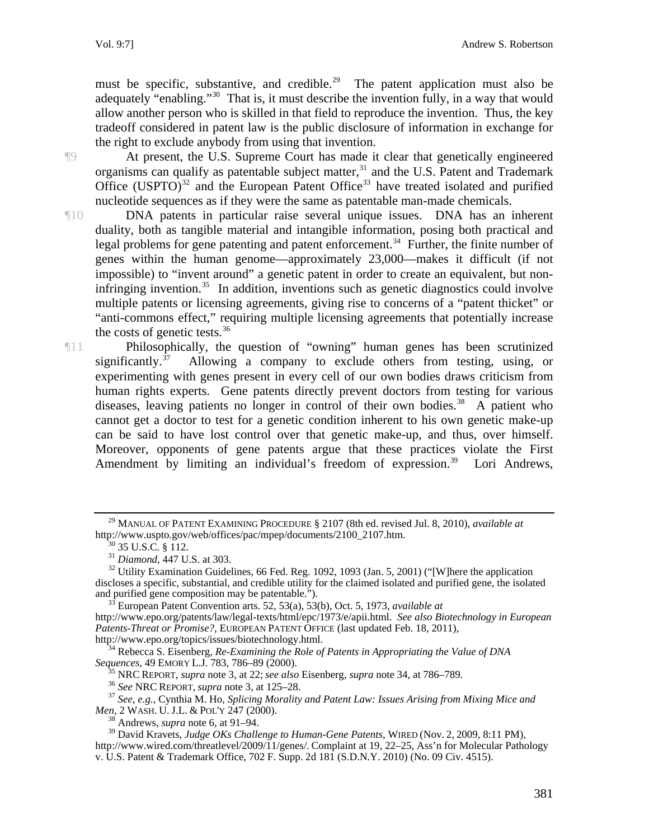must be specific, substantive, and credible.<sup>[29](#page-6-0)</sup> The patent application must also be adequately "enabling."<sup>[30](#page-6-1)</sup> That is, it must describe the invention fully, in a way that would allow another person who is skilled in that field to reproduce the invention. Thus, the key tradeoff considered in patent law is the public disclosure of information in exchange for the right to exclude anybody from using that invention.

¶9 At present, the U.S. Supreme Court has made it clear that genetically engineered organisms can qualify as patentable subject matter,<sup>[31](#page-6-2)</sup> and the U.S. Patent and Trademark Office  $(USPTO)^{32}$  $(USPTO)^{32}$  $(USPTO)^{32}$  and the European Patent Office<sup>[33](#page-6-4)</sup> have treated isolated and purified nucleotide sequences as if they were the same as patentable man-made chemicals.

¶10 DNA patents in particular raise several unique issues. DNA has an inherent duality, both as tangible material and intangible information, posing both practical and legal problems for gene patenting and patent enforcement.<sup>[34](#page-6-5)</sup> Further, the finite number of genes within the human genome—approximately 23,000—makes it difficult (if not impossible) to "invent around" a genetic patent in order to create an equivalent, but non-infringing invention.<sup>[35](#page-6-6)</sup> In addition, inventions such as genetic diagnostics could involve multiple patents or licensing agreements, giving rise to concerns of a "patent thicket" or "anti-commons effect," requiring multiple licensing agreements that potentially increase the costs of genetic tests.<sup>[36](#page-6-7)</sup>

¶11 Philosophically, the question of "owning" human genes has been scrutinized significantly.<sup>[37](#page-6-8)</sup> Allowing a company to exclude others from testing, using, or experimenting with genes present in every cell of our own bodies draws criticism from human rights experts. Gene patents directly prevent doctors from testing for various diseases, leaving patients no longer in control of their own bodies.<sup>[38](#page-6-9)</sup> A patient who cannot get a doctor to test for a genetic condition inherent to his own genetic make-up can be said to have lost control over that genetic make-up, and thus, over himself. Moreover, opponents of gene patents argue that these practices violate the First Amendment by limiting an individual's freedom of expression.<sup>[39](#page-6-10)</sup> Lori Andrews,

<span id="page-6-5"></span>http://www.epo.org/topics/issues/biotechnology.html. 34 Rebecca S. Eisenberg, *Re-Examining the Role of Patents in Appropriating the Value of DNA* 

<span id="page-6-0"></span><sup>29</sup> MANUAL OF PATENT EXAMINING PROCEDURE § 2107 (8th ed. revised Jul. 8, 2010), *available at* http://www.uspto.gov/web/offices/pac/mpep/documents/2100\_2107.htm.<br> $30\,35$  U.S.C. § 112.<br> $31\,Diamond$  Diamond, 447 U.S. at 303.

<span id="page-6-3"></span><span id="page-6-2"></span><span id="page-6-1"></span><sup>&</sup>lt;sup>32</sup> Utility Examination Guidelines, 66 Fed. Reg. 1092, 1093 (Jan. 5, 2001) ("[W]here the application discloses a specific, substantial, and credible utility for the claimed isolated and purified gene, the isolated and purified gene composition may be patentable.").

European Patent Convention arts. 52, 53(a), 53(b), Oct. 5, 1973, *available at* 

<span id="page-6-4"></span>http://www.epo.org/patents/law/legal-texts/html/epc/1973/e/apii.html. *See also Biotechnology in European Patents-Threat or Promise?,* EUROPEAN PATENT OFFICE (last updated Feb. 18, 2011),

<span id="page-6-8"></span><span id="page-6-7"></span><span id="page-6-6"></span><sup>&</sup>lt;sup>35</sup> NRC REPORT, *supra* note 3, at 22; *see also* Eisenberg, *supra* note 34, at 786–789.<br><sup>36</sup> See NRC REPORT, *supra* note 3, at 125–28.<br><sup>37</sup> See, e.g., Cynthia M. Ho, *Splicing Morality and Patent Law: Issues Arising f* 

<sup>&</sup>lt;sup>38</sup> Andrews, *supra* note 6, at 91–94.

<span id="page-6-10"></span><span id="page-6-9"></span><sup>&</sup>lt;sup>39</sup> David Kravets, *Judge OKs Challenge to Human-Gene Patents*, WIRED (Nov. 2, 2009, 8:11 PM), http://www.wired.com/threatlevel/2009/11/genes/. Complaint at 19, 22–25, Ass'n for Molecular Pathology v. U.S. Patent & Trademark Office, 702 F. Supp. 2d 181 (S.D.N.Y. 2010) (No. 09 Civ. 4515).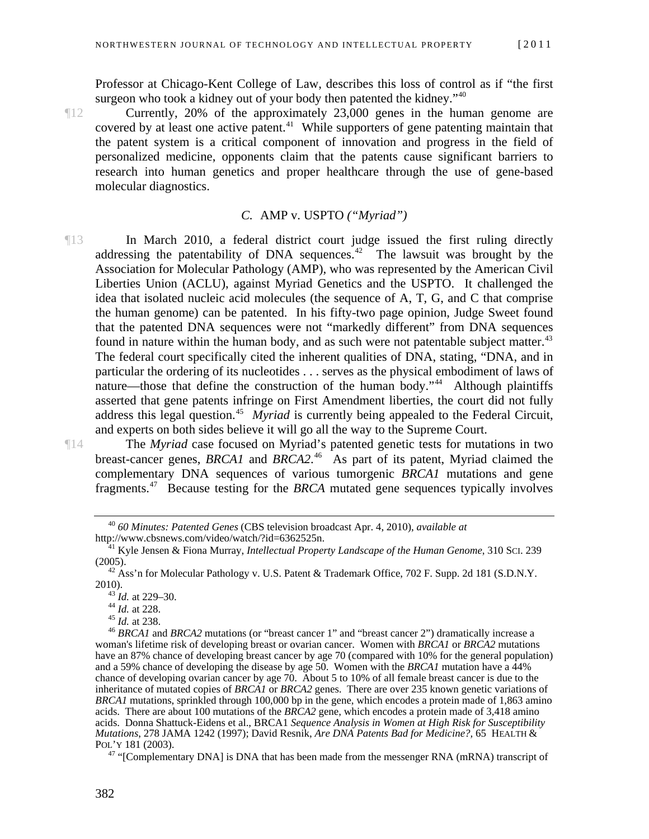Professor at Chicago-Kent College of Law, describes this loss of control as if "the first surgeon who took a kidney out of your body then patented the kidney."<sup>40</sup>

The Currently, 20% of the approximately 23,000 genes in the human genome are covered by at least one active patent.<sup>[41](#page-7-0)</sup> While supporters of gene patenting maintain that the patent system is a critical component of innovation and progress in the field of personalized medicine, opponents claim that the patents cause significant barriers to research into human genetics and proper healthcare through the use of gene-based molecular diagnostics.

#### *C.* AMP v. USPTO *("Myriad")*

¶13 In March 2010, a federal district court judge issued the first ruling directly addressing the patentability of DNA sequences.<sup>[42](#page-7-1)</sup> The lawsuit was brought by the Association for Molecular Pathology (AMP), who was represented by the American Civil Liberties Union (ACLU), against Myriad Genetics and the USPTO. It challenged the idea that isolated nucleic acid molecules (the sequence of A, T, G, and C that comprise the human genome) can be patented. In his fifty-two page opinion, Judge Sweet found that the patented DNA sequences were not "markedly different" from DNA sequences found in nature within the human body, and as such were not patentable subject matter.<sup>43</sup> The federal court specifically cited the inherent qualities of DNA, stating, "DNA, and in particular the ordering of its nucleotides . . . serves as the physical embodiment of laws of nature—those that define the construction of the human body."<sup>[44](#page-7-3)</sup> Although plaintiffs asserted that gene patents infringe on First Amendment liberties, the court did not fully address this legal question.<sup>[45](#page-7-4)</sup> *Myriad* is currently being appealed to the Federal Circuit, and experts on both sides believe it will go all the way to the Supreme Court.

¶14 The *Myriad* case focused on Myriad's patented genetic tests for mutations in two breast-cancer genes, *BRCA1* and *BRCA2*. [46](#page-7-5) As part of its patent, Myriad claimed the complementary DNA sequences of various tumorgenic *BRCA1* mutations and gene fragments[.47](#page-7-6) Because testing for the *BRCA* mutated gene sequences typically involves

<span id="page-7-5"></span><span id="page-7-4"></span><span id="page-7-3"></span>woman's lifetime risk of developing breast or ovarian cancer. Women with *BRCA1* or *BRCA2* mutations have an 87% chance of developing breast cancer by age 70 (compared with 10% for the general population) and a 59% chance of developing the disease by age 50. Women with the *BRCA1* mutation have a 44% chance of developing ovarian cancer by age  $70$ . About 5 to 10% of all female breast cancer is due to the inheritance of mutated copies of *BRCA1* or *BRCA2* genes. There are over 235 known genetic variations of *BRCA1* mutations, sprinkled through 100,000 bp in the gene, which encodes a protein made of 1,863 amino acids. There are about 100 mutations of the *BRCA2* gene, which encodes a protein made of 3,418 amino acids. Donna Shattuck-Eidens et al., BRCA1 *Sequence Analysis in Women at High Risk for Susceptibility Mutations*, 278 JAMA 1242 (1997); David Resnik, *Are DNA Patents Bad for Medicine?*, 65 HEALTH & POL'Y 181 (2003).

<span id="page-7-6"></span> $47$  "[Complementary DNA] is DNA that has been made from the messenger RNA (mRNA) transcript of

<sup>40</sup> *60 Minutes: Patented Genes* (CBS television broadcast Apr. 4, 2010), *available at* 

<span id="page-7-0"></span> $\frac{1}{1}$  Kyle Jensen & Fiona Murray, *Intellectual Property Landscape of the Human Genome*, 310 SCI. 239 (2005).<br><sup>42</sup> Ass'n for Molecular Pathology v. U.S. Patent & Trademark Office, 702 F. Supp. 2d 181 (S.D.N.Y.)

<span id="page-7-2"></span><span id="page-7-1"></span><sup>2010).&</sup>lt;br><sup>43</sup> *Id.* at 229–30.<br><sup>45</sup> *Id.* at 228.<br><sup>45</sup> *Id.* at 238.<br><sup>46</sup> *BRCA1* and *BRCA2* mutations (or "breast cancer 1" and "breast cancer 2") dramatically increase a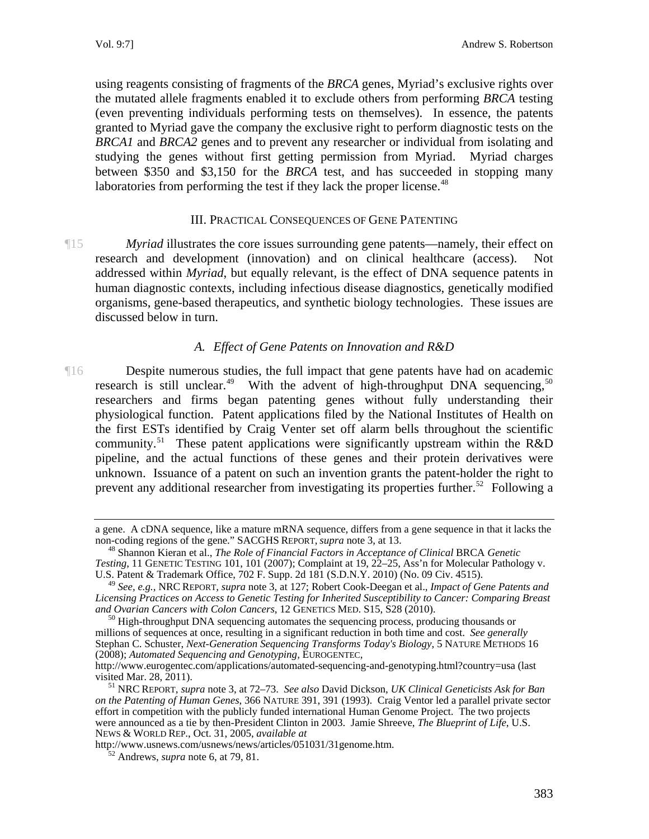using reagents consisting of fragments of the *BRCA* genes, Myriad's exclusive rights over the mutated allele fragments enabled it to exclude others from performing *BRCA* testing (even preventing individuals performing tests on themselves). In essence, the patents granted to Myriad gave the company the exclusive right to perform diagnostic tests on the *BRCA1* and *BRCA2* genes and to prevent any researcher or individual from isolating and studying the genes without first getting permission from Myriad. Myriad charges between \$350 and \$3,150 for the *BRCA* test, and has succeeded in stopping many laboratories from performing the test if they lack the proper license.<sup>48</sup>

#### III. PRACTICAL CONSEQUENCES OF GENE PATENTING

¶15 *Myriad* illustrates the core issues surrounding gene patents—namely, their effect on research and development (innovation) and on clinical healthcare (access). Not addressed within *Myriad*, but equally relevant, is the effect of DNA sequence patents in human diagnostic contexts, including infectious disease diagnostics, genetically modified organisms, gene-based therapeutics, and synthetic biology technologies. These issues are discussed below in turn.

#### *A. Effect of Gene Patents on Innovation and R&D*

¶16 Despite numerous studies, the full impact that gene patents have had on academic research is still unclear.<sup>[49](#page-8-0)</sup> With the advent of high-throughput DNA sequencing,  $50$ researchers and firms began patenting genes without fully understanding their physiological function. Patent applications filed by the National Institutes of Health on the first ESTs identified by Craig Venter set off alarm bells throughout the scientific community.<sup>[51](#page-8-2)</sup> These patent applications were significantly upstream within the R&D pipeline, and the actual functions of these genes and their protein derivatives were unknown. Issuance of a patent on such an invention grants the patent-holder the right to prevent any additional researcher from investigating its properties further.<sup>[52](#page-8-3)</sup> Following a

a gene. A cDNA sequence, like a mature mRNA sequence, differs from a gene sequence in that it lacks the non-coding regions of the gene." SACGHS REPORT, *supra* note 3, at 13.

<sup>&</sup>lt;sup>48</sup> Shannon-Kieran et al., *The Role of Financial Factors in Acceptance of Clinical* BRCA *Genetic Testing*, 11 GENETIC TESTING 101, 101 (2007); Complaint at 19, 22–25, Ass'n for Molecular Pathology v. U.S. Patent & Trademark Office, 702 F. Supp. 2d 181 (S.D.N.Y. 2010) (No. 09 Civ. 4515).

<span id="page-8-0"></span><sup>49</sup> *See, e.g.*, NRC REPORT*, supra* note 3, at 127; Robert Cook-Deegan et al., *Impact of Gene Patents and Licensing Practices on Access to Genetic Testing for Inherited Susceptibility to Cancer: Comparing Breast* 

<span id="page-8-1"></span><sup>&</sup>lt;sup>50</sup> High-throughput DNA sequencing automates the sequencing process, producing thousands or millions of sequences at once, resulting in a significant reduction in both time and cost. *See generally* Stephan C. Schuster, *Next-Generation Sequencing Transforms Today's Biology*, 5 NATURE METHODS 16 (2008); *Automated Sequencing and Genotyping,* EUROGENTEC,

http://www.eurogentec.com/applications/automated-sequencing-and-genotyping.html?country=usa (last

<span id="page-8-2"></span><sup>&</sup>lt;sup>51</sup> NRC REPORT, *supra* note 3, at 72–73. *See also* David Dickson, *UK Clinical Geneticists Ask for Ban on the Patenting of Human Genes*, 366 NATURE 391, 391 (1993). Craig Ventor led a parallel private sector effort in competition with the publicly funded international Human Genome Project. The two projects were announced as a tie by then-President Clinton in 2003. Jamie Shreeve, *The Blueprint of Life*, U.S. NEWS & WORLD REP., Oct. 31, 2005, *available at*

<span id="page-8-3"></span>http://www.usnews.com/usnews/news/articles/051031/31genome.htm. 52 Andrews, *supra* note 6, at 79, 81.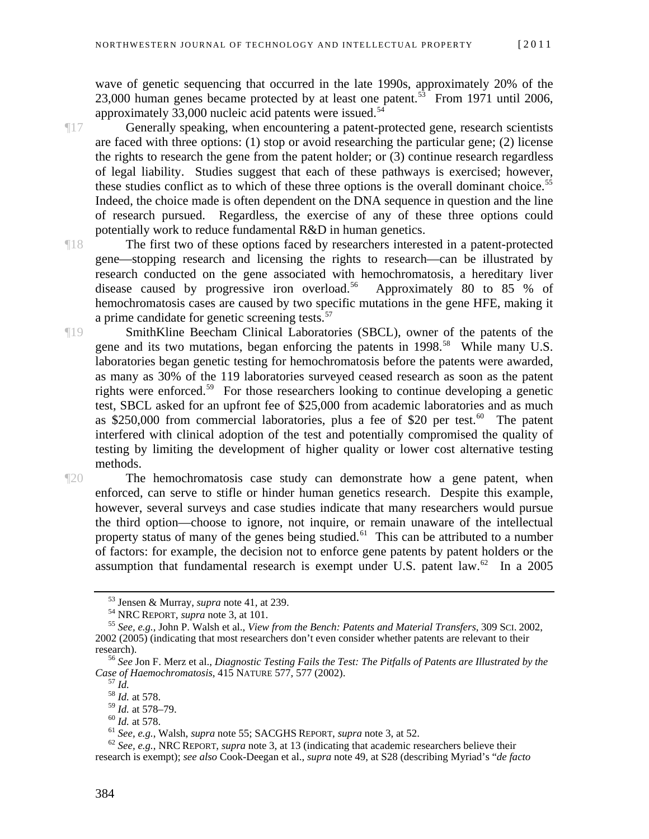wave of genetic sequencing that occurred in the late 1990s, approximately 20% of the 23,000 human genes became protected by at least one patent.<sup>53</sup> From 1971 until 2006, approximately  $33,000$  nucleic acid patents were issued.<sup>54</sup>

¶17 Generally speaking, when encountering a patent-protected gene, research scientists are faced with three options: (1) stop or avoid researching the particular gene; (2) license the rights to research the gene from the patent holder; or (3) continue research regardless of legal liability. Studies suggest that each of these pathways is exercised; however, these studies conflict as to which of these three options is the overall dominant choice.<sup>55</sup> Indeed, the choice made is often dependent on the DNA sequence in question and the line of research pursued. Regardless, the exercise of any of these three options could potentially work to reduce fundamental R&D in human genetics.

¶18 The first two of these options faced by researchers interested in a patent-protected gene—stopping research and licensing the rights to research—can be illustrated by research conducted on the gene associated with hemochromatosis, a hereditary liver disease caused by progressive iron overload.<sup>[56](#page-9-1)</sup> Approximately 80 to 85 % of hemochromatosis cases are caused by two specific mutations in the gene HFE, making it a prime candidate for genetic screening tests.<sup>[57](#page-9-2)</sup>

¶19 SmithKline Beecham Clinical Laboratories (SBCL), owner of the patents of the gene and its two mutations, began enforcing the patents in 1998.<sup>[58](#page-9-3)</sup> While many U.S. laboratories began genetic testing for hemochromatosis before the patents were awarded, as many as 30% of the 119 laboratories surveyed ceased research as soon as the patent rights were enforced.<sup>[59](#page-9-4)</sup> For those researchers looking to continue developing a genetic test, SBCL asked for an upfront fee of \$25,000 from academic laboratories and as much as \$250,000 from commercial laboratories, plus a fee of \$20 per test.<sup>[60](#page-9-5)</sup> The patent interfered with clinical adoption of the test and potentially compromised the quality of testing by limiting the development of higher quality or lower cost alternative testing methods.

¶20 The hemochromatosis case study can demonstrate how a gene patent, when enforced, can serve to stifle or hinder human genetics research. Despite this example, however, several surveys and case studies indicate that many researchers would pursue the third option—choose to ignore, not inquire, or remain unaware of the intellectual property status of many of the genes being studied.<sup>[61](#page-9-6)</sup> This can be attributed to a number of factors: for example, the decision not to enforce gene patents by patent holders or the assumption that fundamental research is exempt under U.S. patent law.<sup>[62](#page-9-7)</sup> In a 2005

<sup>53</sup> Jensen & Murray, *supra* note 41, at 239. 54 NRC REPORT, *supra* note 3, at 101. 55 *See, e.g.*, John P. Walsh et al., *View from the Bench: Patents and Material Transfers*, 309 SCI. 2002, 2002 (2005) (indicating that most researchers don't even consider whether patents are relevant to their

<span id="page-9-2"></span><span id="page-9-1"></span><span id="page-9-0"></span>research). 56 *See* Jon F. Merz et al., *Diagnostic Testing Fails the Test: The Pitfalls of Patents are Illustrated by the Case of Haemochromatosis*, 415 NATURE 577, 577 (2002).<br><sup>57</sup> *Id.* <sup>58</sup> *Id.* at 578.<br><sup>59</sup> *Id.* at 578–79.

<span id="page-9-7"></span><span id="page-9-6"></span><span id="page-9-5"></span><span id="page-9-4"></span><span id="page-9-3"></span><sup>&</sup>lt;sup>60</sup> *Id.* at 578.<br><sup>61</sup> *See, e.g.*, Walsh, *supra* note 55; SACGHS REPORT, *supra* note 3, at 52.<br><sup>62</sup> *See, e.g.*, NRC REPORT, *supra* note 3, at 13 (indicating that academic researchers believe their research is exempt); *see also* Cook-Deegan et al., *supra* note 49, at S28 (describing Myriad's "*de facto*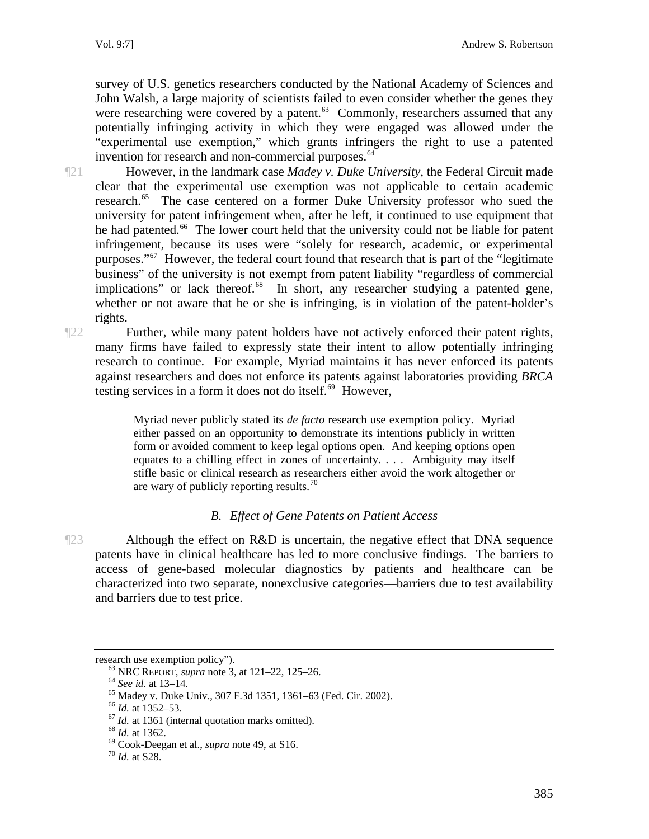survey of U.S. genetics researchers conducted by the National Academy of Sciences and John Walsh, a large majority of scientists failed to even consider whether the genes they were researching were covered by a patent.<sup>63</sup> Commonly, researchers assumed that any potentially infringing activity in which they were engaged was allowed under the "experimental use exemption," which grants infringers the right to use a patented invention for research and non-commercial purposes.<sup>64</sup>

¶21 However, in the landmark case *Madey v. Duke University*, the Federal Circuit made clear that the experimental use exemption was not applicable to certain academic research.<sup>[65](#page-10-0)</sup> The case centered on a former Duke University professor who sued the university for patent infringement when, after he left, it continued to use equipment that he had patented.<sup>[66](#page-10-1)</sup> The lower court held that the university could not be liable for patent infringement, because its uses were "solely for research, academic, or experimental purposes."<sup>67</sup> However, the federal court found that research that is part of the "legitimate" business" of the university is not exempt from patent liability "regardless of commercial implications" or lack thereof.<sup>[68](#page-10-3)</sup> In short, any researcher studying a patented gene, whether or not aware that he or she is infringing, is in violation of the patent-holder's rights.

¶22 Further, while many patent holders have not actively enforced their patent rights, many firms have failed to expressly state their intent to allow potentially infringing research to continue. For example, Myriad maintains it has never enforced its patents against researchers and does not enforce its patents against laboratories providing *BRCA*  testing services in a form it does not do itself.<sup>[69](#page-10-4)</sup> However,

> Myriad never publicly stated its *de facto* research use exemption policy. Myriad either passed on an opportunity to demonstrate its intentions publicly in written form or avoided comment to keep legal options open. And keeping options open equates to a chilling effect in zones of uncertainty. . . . Ambiguity may itself stifle basic or clinical research as researchers either avoid the work altogether or are wary of publicly reporting results.<sup>[70](#page-10-5)</sup>

#### *B. Effect of Gene Patents on Patient Access*

¶23 Although the effect on R&D is uncertain, the negative effect that DNA sequence patents have in clinical healthcare has led to more conclusive findings. The barriers to access of gene-based molecular diagnostics by patients and healthcare can be characterized into two separate, nonexclusive categories—barriers due to test availability and barriers due to test price.

<span id="page-10-1"></span><span id="page-10-0"></span>research use exemption policy").<br>
<sup>63</sup> NRC REPORT, *supra* note 3, at 121–22, 125–26.<br>
<sup>64</sup> *See id.* at 13–14.<br>
<sup>65</sup> Madey v. Duke Univ., 307 F.3d 1351, 1361–63 (Fed. Cir. 2002).<br>
<sup>66</sup> *Id.* at 1352–53.

<span id="page-10-3"></span><span id="page-10-2"></span><sup>&</sup>lt;sup>67</sup> *Id.* at 1361 (internal quotation marks omitted). <sup>68</sup> *Id.* at 1362. <sup>69</sup> Cook-Deegan et al., *supra* note 49, at S16. <sup>70</sup> *Id.* at S28.

<span id="page-10-5"></span><span id="page-10-4"></span>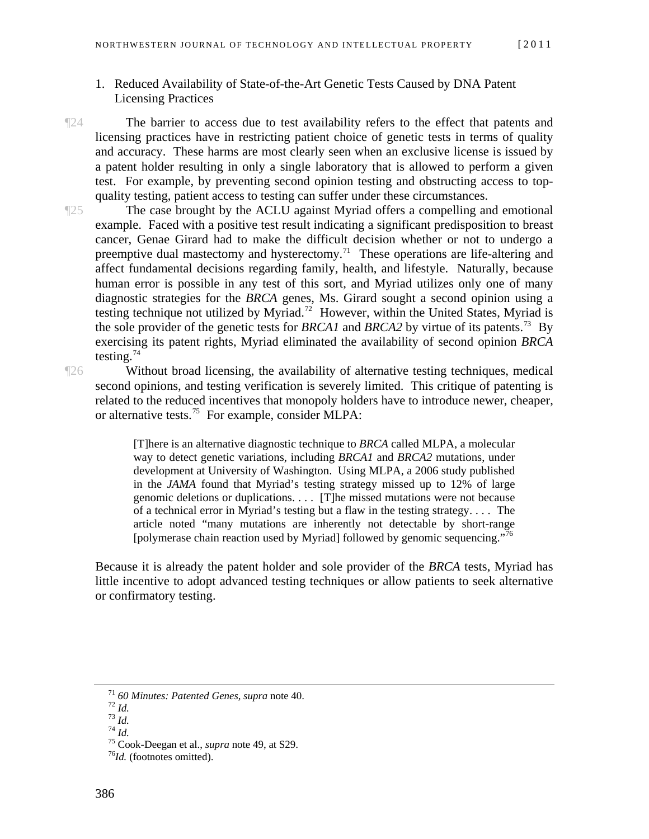- 1. Reduced Availability of State-of-the-Art Genetic Tests Caused by DNA Patent Licensing Practices
- ¶24 The barrier to access due to test availability refers to the effect that patents and licensing practices have in restricting patient choice of genetic tests in terms of quality and accuracy. These harms are most clearly seen when an exclusive license is issued by a patent holder resulting in only a single laboratory that is allowed to perform a given test. For example, by preventing second opinion testing and obstructing access to topquality testing, patient access to testing can suffer under these circumstances.
- ¶25 The case brought by the ACLU against Myriad offers a compelling and emotional example. Faced with a positive test result indicating a significant predisposition to breast cancer, Genae Girard had to make the difficult decision whether or not to undergo a preemptive dual mastectomy and hysterectomy.<sup>[71](#page-11-0)</sup> These operations are life-altering and affect fundamental decisions regarding family, health, and lifestyle. Naturally, because human error is possible in any test of this sort, and Myriad utilizes only one of many diagnostic strategies for the *BRCA* genes, Ms. Girard sought a second opinion using a testing technique not utilized by Myriad.<sup>[72](#page-11-1)</sup> However, within the United States, Myriad is the sole provider of the genetic tests for *BRCA1* and *BRCA2* by virtue of its patents.[73](#page-11-2) By exercising its patent rights, Myriad eliminated the availability of second opinion *BRCA*  testing. $74$

¶26 Without broad licensing, the availability of alternative testing techniques, medical second opinions, and testing verification is severely limited. This critique of patenting is related to the reduced incentives that monopoly holders have to introduce newer, cheaper, or alternative tests.<sup>[75](#page-11-4)</sup> For example, consider MLPA:

> [T]here is an alternative diagnostic technique to *BRCA* called MLPA, a molecular way to detect genetic variations, including *BRCA1* and *BRCA2* mutations, under development at University of Washington. Using MLPA, a 2006 study published in the *JAMA* found that Myriad's testing strategy missed up to 12% of large genomic deletions or duplications. . . . [T]he missed mutations were not because of a technical error in Myriad's testing but a flaw in the testing strategy. . . . The article noted "many mutations are inherently not detectable by short-range [polymerase chain reaction used by Myriad] followed by genomic sequencing."<sup>[76](#page-11-5)</sup>

Because it is already the patent holder and sole provider of the *BRCA* tests, Myriad has little incentive to adopt advanced testing techniques or allow patients to seek alternative or confirmatory testing.

<span id="page-11-3"></span><span id="page-11-2"></span>

<span id="page-11-1"></span><span id="page-11-0"></span><sup>&</sup>lt;sup>71</sup> 60 Minutes: Patented Genes, *supra* note 40.<br><sup>72</sup> *Id.*<br><sup>73</sup> *Id.*<br><sup>75</sup> Cook-Deegan et al., *supra* note 49, at S29.<br><sup>76</sup>*Id.* (footnotes omitted).

<span id="page-11-5"></span><span id="page-11-4"></span>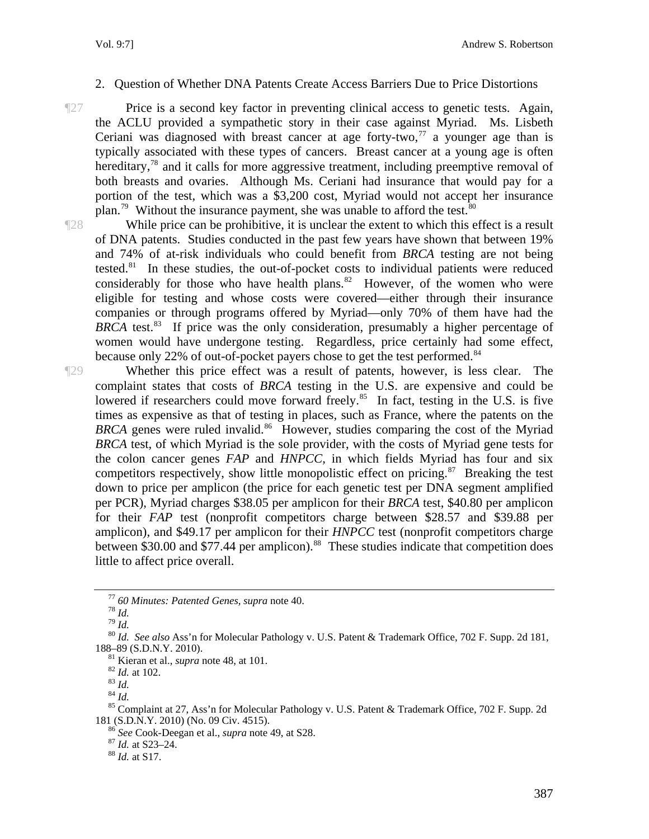#### 2. Question of Whether DNA Patents Create Access Barriers Due to Price Distortions

¶27 Price is a second key factor in preventing clinical access to genetic tests. Again, the ACLU provided a sympathetic story in their case against Myriad. Ms. Lisbeth Ceriani was diagnosed with breast cancer at age forty-two,<sup>[77](#page-12-0)</sup> a younger age than is typically associated with these types of cancers. Breast cancer at a young age is often hereditary,<sup>[78](#page-12-1)</sup> and it calls for more aggressive treatment, including preemptive removal of both breasts and ovaries. Although Ms. Ceriani had insurance that would pay for a portion of the test, which was a \$3,200 cost, Myriad would not accept her insurance plan.<sup>[79](#page-12-2)</sup> Without the insurance payment, she was unable to afford the test.<sup>[80](#page-12-3)</sup>

¶28 While price can be prohibitive, it is unclear the extent to which this effect is a result of DNA patents. Studies conducted in the past few years have shown that between 19% and 74% of at-risk individuals who could benefit from *BRCA* testing are not being tested. $81$  In these studies, the out-of-pocket costs to individual patients were reduced considerably for those who have health plans.<sup>[82](#page-12-5)</sup> However, of the women who were eligible for testing and whose costs were covered—either through their insurance companies or through programs offered by Myriad—only 70% of them have had the *BRCA* test.<sup>[83](#page-12-6)</sup> If price was the only consideration, presumably a higher percentage of women would have undergone testing. Regardless, price certainly had some effect, because only 22% of out-of-pocket payers chose to get the test performed.<sup>[84](#page-12-7)</sup>

¶29 Whether this price effect was a result of patents, however, is less clear. The complaint states that costs of *BRCA* testing in the U.S. are expensive and could be lowered if researchers could move forward freely.<sup>[85](#page-12-8)</sup> In fact, testing in the U.S. is five times as expensive as that of testing in places, such as France, where the patents on the BRCA genes were ruled invalid.<sup>[86](#page-12-9)</sup> However, studies comparing the cost of the Myriad *BRCA* test, of which Myriad is the sole provider, with the costs of Myriad gene tests for the colon cancer genes *FAP* and *HNPCC*, in which fields Myriad has four and six competitors respectively, show little monopolistic effect on pricing.<sup>[87](#page-12-10)</sup> Breaking the test down to price per amplicon (the price for each genetic test per DNA segment amplified per PCR), Myriad charges \$38.05 per amplicon for their *BRCA* test, \$40.80 per amplicon for their *FAP* test (nonprofit competitors charge between \$28.57 and \$39.88 per amplicon), and \$49.17 per amplicon for their *HNPCC* test (nonprofit competitors charge between \$30.00 and \$77.44 per amplicon).<sup>[88](#page-12-11)</sup> These studies indicate that competition does little to affect price overall.

<span id="page-12-11"></span><span id="page-12-10"></span><span id="page-12-9"></span><span id="page-12-8"></span>181 (S.D.N.Y. 2010) (No. 09 Civ. 4515). 86 *See* Cook-Deegan et al., *supra* note 49, at S28. 87 *Id.* at S23–24. 88 *Id.* at S17.

<span id="page-12-1"></span><span id="page-12-0"></span><sup>&</sup>lt;sup>77</sup> 60 Minutes: Patented Genes, *supra* note 40.<br><sup>78</sup> *Id.*<br><sup>80</sup> *Id. See also* Ass'n for Molecular Pathology v. U.S. Patent & Trademark Office, 702 F. Supp. 2d 181, <br><sup>80</sup> *Id. See also* Ass'n for Molecular Pathology

<span id="page-12-7"></span><span id="page-12-6"></span><span id="page-12-5"></span><span id="page-12-4"></span><span id="page-12-3"></span><span id="page-12-2"></span><sup>188–89 (</sup>S.D.N.Y. 2010).<br><sup>81</sup> Kieran et al., *supra* note 48, at 101.<br><sup>82</sup> *Id.* 84 *Id.*<br><sup>83</sup> *Id.* 84 *Id.* 85 Complaint at 27, Ass'n for Molecular Pathology v. U.S. Patent & Trademark Office, 702 F. Supp. 2d<br>181 (S.D.N.Y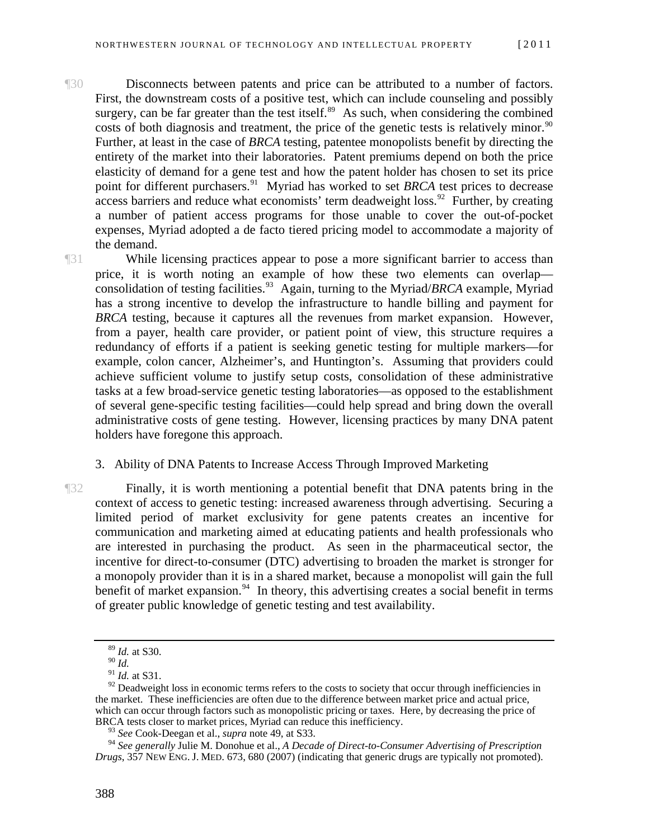- ¶30 Disconnects between patents and price can be attributed to a number of factors. First, the downstream costs of a positive test, which can include counseling and possibly surgery, can be far greater than the test itself.<sup>[89](#page-13-0)</sup> As such, when considering the combined costs of both diagnosis and treatment, the price of the genetic tests is relatively minor.<sup>90</sup> Further, at least in the case of *BRCA* testing, patentee monopolists benefit by directing the entirety of the market into their laboratories. Patent premiums depend on both the price elasticity of demand for a gene test and how the patent holder has chosen to set its price point for different purchasers.<sup>[91](#page-13-2)</sup> Myriad has worked to set *BRCA* test prices to decrease access barriers and reduce what economists' term deadweight loss.<sup>[92](#page-13-3)</sup> Further, by creating a number of patient access programs for those unable to cover the out-of-pocket expenses, Myriad adopted a de facto tiered pricing model to accommodate a majority of the demand.
- ¶31 While licensing practices appear to pose a more significant barrier to access than price, it is worth noting an example of how these two elements can overlap— consolidation of testing facilities.<sup>[93](#page-13-4)</sup> Again, turning to the Myriad/*BRCA* example, Myriad has a strong incentive to develop the infrastructure to handle billing and payment for *BRCA* testing, because it captures all the revenues from market expansion. However, from a payer, health care provider, or patient point of view, this structure requires a redundancy of efforts if a patient is seeking genetic testing for multiple markers—for example, colon cancer, Alzheimer's, and Huntington's. Assuming that providers could achieve sufficient volume to justify setup costs, consolidation of these administrative tasks at a few broad-service genetic testing laboratories—as opposed to the establishment of several gene-specific testing facilities—could help spread and bring down the overall administrative costs of gene testing. However, licensing practices by many DNA patent holders have foregone this approach.
	- 3. Ability of DNA Patents to Increase Access Through Improved Marketing
- ¶32 Finally, it is worth mentioning a potential benefit that DNA patents bring in the context of access to genetic testing: increased awareness through advertising. Securing a limited period of market exclusivity for gene patents creates an incentive for communication and marketing aimed at educating patients and health professionals who are interested in purchasing the product. As seen in the pharmaceutical sector, the incentive for direct-to-consumer (DTC) advertising to broaden the market is stronger for a monopoly provider than it is in a shared market, because a monopolist will gain the full benefit of market expansion.<sup>[94](#page-13-5)</sup> In theory, this advertising creates a social benefit in terms of greater public knowledge of genetic testing and test availability.

<sup>89</sup> *Id.* at S30.

<sup>90</sup> *Id.*

<sup>91</sup> *Id.* at S31.

<span id="page-13-3"></span><span id="page-13-2"></span><span id="page-13-1"></span><span id="page-13-0"></span> $92$  Deadweight loss in economic terms refers to the costs to society that occur through inefficiencies in the market. These inefficiencies are often due to the difference between market price and actual price, which can occur through factors such as monopolistic pricing or taxes. Here, by decreasing the price of BRCA tests closer to market prices, Myriad can reduce this inefficiency.

<sup>&</sup>lt;sup>3</sup> See Cook-Deegan et al., *supra* note 49, at S33.

<span id="page-13-5"></span><span id="page-13-4"></span><sup>94</sup> *See generally* Julie M. Donohue et al., *A Decade of Direct-to-Consumer Advertising of Prescription Drugs*, 357 NEW ENG. J. MED. 673, 680 (2007) (indicating that generic drugs are typically not promoted).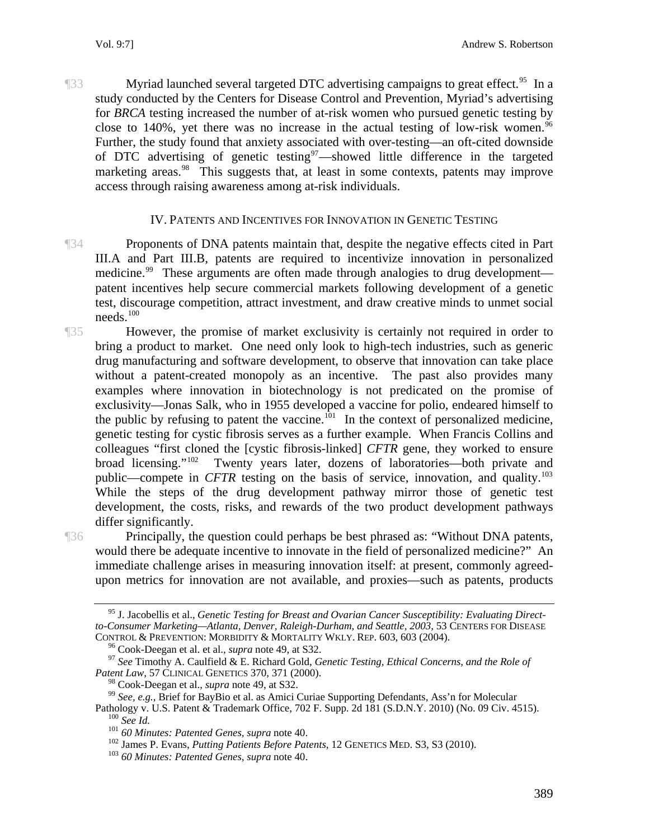**The Myriad launched several targeted DTC advertising campaigns to great effect.**<sup>[95](#page-14-0)</sup> In a study conducted by the Centers for Disease Control and Prevention, Myriad's advertising for *BRCA* testing increased the number of at-risk women who pursued genetic testing by close to 140%, yet there was no increase in the actual testing of low-risk women.<sup>96</sup> Further, the study found that anxiety associated with over-testing—an oft-cited downside of DTC advertising of genetic testing<sup>[97](#page-14-2)</sup>—showed little difference in the targeted marketing areas.<sup>[98](#page-14-3)</sup> This suggests that, at least in some contexts, patents may improve access through raising awareness among at-risk individuals.

#### IV. PATENTS AND INCENTIVES FOR INNOVATION IN GENETIC TESTING

- ¶34 Proponents of DNA patents maintain that, despite the negative effects cited in Part III.A and Part III.B, patents are required to incentivize innovation in personalized medicine.<sup>[99](#page-14-4)</sup> These arguments are often made through analogies to drug development patent incentives help secure commercial markets following development of a genetic test, discourage competition, attract investment, and draw creative minds to unmet social needs. $100$
- ¶35 However, the promise of market exclusivity is certainly not required in order to bring a product to market. One need only look to high-tech industries, such as generic drug manufacturing and software development, to observe that innovation can take place without a patent-created monopoly as an incentive. The past also provides many examples where innovation in biotechnology is not predicated on the promise of exclusivity—Jonas Salk, who in 1955 developed a vaccine for polio, endeared himself to the public by refusing to patent the vaccine.<sup>[101](#page-14-6)</sup> In the context of personalized medicine, genetic testing for cystic fibrosis serves as a further example. When Francis Collins and colleagues "first cloned the [cystic fibrosis-linked] *CFTR* gene, they worked to ensure broad licensing."[102](#page-14-7) Twenty years later, dozens of laboratories—both private and public—compete in *CFTR* testing on the basis of service, innovation, and quality.<sup>103</sup> While the steps of the drug development pathway mirror those of genetic test development, the costs, risks, and rewards of the two product development pathways differ significantly.

¶36 Principally, the question could perhaps be best phrased as: "Without DNA patents, would there be adequate incentive to innovate in the field of personalized medicine?" An immediate challenge arises in measuring innovation itself: at present, commonly agreedupon metrics for innovation are not available, and proxies—such as patents, products

<span id="page-14-0"></span><sup>95</sup> J. Jacobellis et al., *Genetic Testing for Breast and Ovarian Cancer Susceptibility: Evaluating Directto-Consumer Marketing—Atlanta, Denver, Raleigh-Durham, and Seattle, 2003*, 53 CENTERS FOR DISEASE

<span id="page-14-2"></span><span id="page-14-1"></span><sup>&</sup>lt;sup>96</sup> Cook-Deegan et al. et al., *supra* note 49, at S32.<br><sup>97</sup> See Timothy A. Caulfield & E. Richard Gold, *Genetic Testing, Ethical Concerns, and the Role of Patent Law*, 57 CLINICAL GENETICS 370, 371 (2000).<br><sup>98</sup> Cook-Deegan et al., *supra* note 49, at S32.

<span id="page-14-3"></span><sup>&</sup>lt;sup>99</sup> See, e.g., Brief for BayBio et al. as Amici Curiae Supporting Defendants, Ass'n for Molecular Pathology v. U.S. Patent & Trademark Office, 702 F. Supp. 2d 181 (S.D.N.Y. 2010) (No. 09 Civ. 4515).

<span id="page-14-8"></span><span id="page-14-7"></span><span id="page-14-6"></span><span id="page-14-5"></span><span id="page-14-4"></span><sup>&</sup>lt;sup>100</sup> See Id.<br>
<sup>101</sup> 60 Minutes: Patented Genes, supra note 40.<br>
<sup>102</sup> James P. Evans, *Putting Patients Before Patents*, 12 GENETICS MED. S3, S3 (2010).<br>
<sup>103</sup> 60 Minutes: Patented Genes, supra note 40.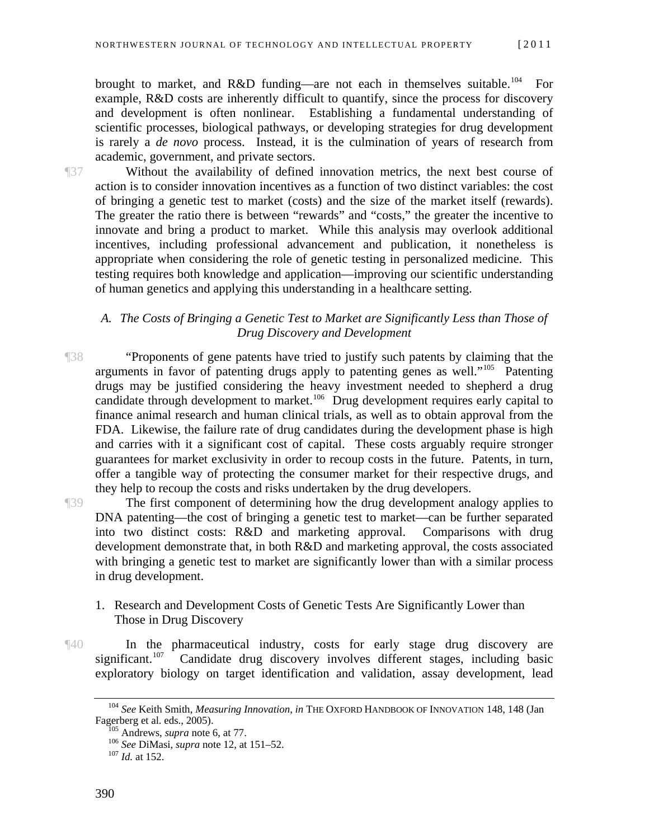brought to market, and R&D funding—are not each in themselves suitable.<sup>104</sup> For example, R&D costs are inherently difficult to quantify, since the process for discovery and development is often nonlinear. Establishing a fundamental understanding of scientific processes, biological pathways, or developing strategies for drug development is rarely a *de novo* process. Instead, it is the culmination of years of research from academic, government, and private sectors.

¶37 Without the availability of defined innovation metrics, the next best course of action is to consider innovation incentives as a function of two distinct variables: the cost of bringing a genetic test to market (costs) and the size of the market itself (rewards). The greater the ratio there is between "rewards" and "costs," the greater the incentive to innovate and bring a product to market. While this analysis may overlook additional incentives, including professional advancement and publication, it nonetheless is appropriate when considering the role of genetic testing in personalized medicine. This testing requires both knowledge and application—improving our scientific understanding of human genetics and applying this understanding in a healthcare setting.

#### *A. The Costs of Bringing a Genetic Test to Market are Significantly Less than Those of Drug Discovery and Development*

- ¶38 "Proponents of gene patents have tried to justify such patents by claiming that the arguments in favor of patenting drugs apply to patenting genes as well."[105](#page-15-0) Patenting drugs may be justified considering the heavy investment needed to shepherd a drug candidate through development to market.<sup>[106](#page-15-1)</sup> Drug development requires early capital to finance animal research and human clinical trials, as well as to obtain approval from the FDA. Likewise, the failure rate of drug candidates during the development phase is high and carries with it a significant cost of capital. These costs arguably require stronger guarantees for market exclusivity in order to recoup costs in the future. Patents, in turn, offer a tangible way of protecting the consumer market for their respective drugs, and they help to recoup the costs and risks undertaken by the drug developers.
- The first component of determining how the drug development analogy applies to DNA patenting—the cost of bringing a genetic test to market—can be further separated into two distinct costs: R&D and marketing approval. Comparisons with drug development demonstrate that, in both R&D and marketing approval, the costs associated with bringing a genetic test to market are significantly lower than with a similar process in drug development.
	- 1. Research and Development Costs of Genetic Tests Are Significantly Lower than Those in Drug Discovery
- ¶40 In the pharmaceutical industry, costs for early stage drug discovery are significant.<sup>[107](#page-15-2)</sup> Candidate drug discovery involves different stages, including basic exploratory biology on target identification and validation, assay development, lead

<span id="page-15-2"></span><span id="page-15-1"></span><span id="page-15-0"></span><sup>104</sup> *See* Keith Smith, *Measuring Innovation*, *in* THE OXFORD HANDBOOK OF INNOVATION 148, 148 (Jan Fagerberg et al. eds., 2005). 105 Andrews, *supra* note 6, at 77. 106 *See* DiMasi, *supra* note 12, at 151–52. 107 *Id.* at 152.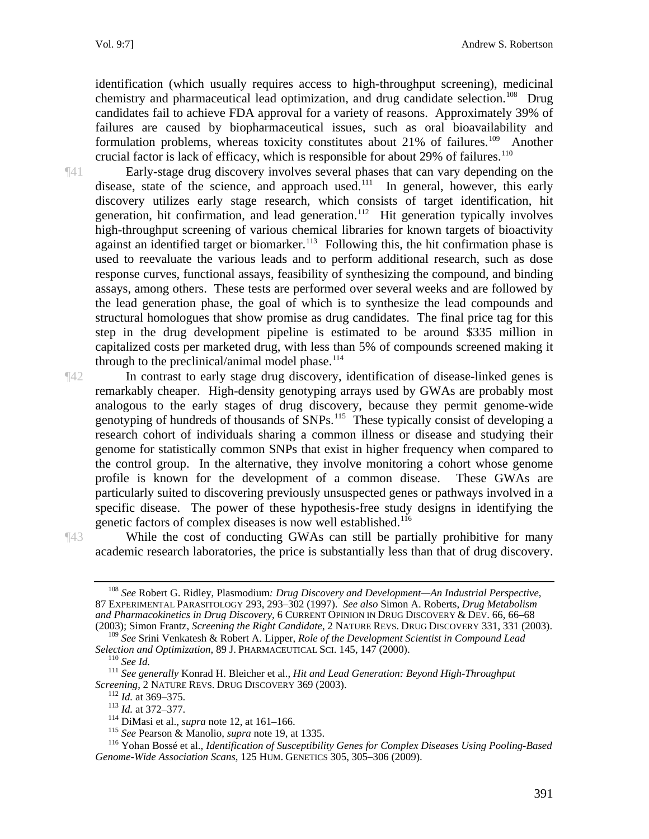identification (which usually requires access to high-throughput screening), medicinal chemistry and pharmaceutical lead optimization, and drug candidate selection.<sup>108</sup> Drug candidates fail to achieve FDA approval for a variety of reasons. Approximately 39% of failures are caused by biopharmaceutical issues, such as oral bioavailability and formulation problems, whereas toxicity constitutes about  $21\%$  of failures.<sup>109</sup> Another crucial factor is lack of efficacy, which is responsible for about 29% of failures.<sup>110</sup>

¶41 Early-stage drug discovery involves several phases that can vary depending on the disease, state of the science, and approach used.<sup>[111](#page-16-0)</sup> In general, however, this early discovery utilizes early stage research, which consists of target identification, hit generation, hit confirmation, and lead generation.<sup>[112](#page-16-1)</sup> Hit generation typically involves high-throughput screening of various chemical libraries for known targets of bioactivity against an identified target or biomarker.<sup>[113](#page-16-2)</sup> Following this, the hit confirmation phase is used to reevaluate the various leads and to perform additional research, such as dose response curves, functional assays, feasibility of synthesizing the compound, and binding assays, among others. These tests are performed over several weeks and are followed by the lead generation phase, the goal of which is to synthesize the lead compounds and structural homologues that show promise as drug candidates. The final price tag for this step in the drug development pipeline is estimated to be around \$335 million in capitalized costs per marketed drug, with less than 5% of compounds screened making it through to the preclinical/animal model phase. $114$ 

¶42 In contrast to early stage drug discovery, identification of disease-linked genes is remarkably cheaper. High-density genotyping arrays used by GWAs are probably most analogous to the early stages of drug discovery, because they permit genome-wide genotyping of hundreds of thousands of SNPs.<sup>[115](#page-16-4)</sup> These typically consist of developing a research cohort of individuals sharing a common illness or disease and studying their genome for statistically common SNPs that exist in higher frequency when compared to the control group. In the alternative, they involve monitoring a cohort whose genome profile is known for the development of a common disease. These GWAs are particularly suited to discovering previously unsuspected genes or pathways involved in a specific disease. The power of these hypothesis-free study designs in identifying the genetic factors of complex diseases is now well established.<sup>[116](#page-16-5)</sup>

¶43 While the cost of conducting GWAs can still be partially prohibitive for many academic research laboratories, the price is substantially less than that of drug discovery.

<sup>108</sup> *See* Robert G. Ridley, Plasmodium*: Drug Discovery and Development—An Industrial Perspective*, 87 EXPERIMENTAL PARASITOLOGY 293, 293–302 (1997). *See also* Simon A. Roberts, *Drug Metabolism and Pharmacokinetics in Drug Discovery*, 6 CURRENT OPINION IN DRUG DISCOVERY & DEV. 66, 66–68 (2003); Simon Frantz, *Screening the Right Candidate*, 2 NATURE REVS. DRUG DISCOVERY 331, 331 (2003).

<sup>&</sup>lt;sup>109</sup> *See Srini Venkatesh & Robert A. Lipper, Role of the Development Scientist in Compound Lead Selection and Optimization, 89 J. PHARMACEUTICAL SCI. 145, 147 (2000).* 

<span id="page-16-0"></span><sup>&</sup>lt;sup>110</sup> See Id.<br><sup>111</sup> See generally Konrad H. Bleicher et al., *Hit and Lead Generation: Beyond High-Throughput Screening*, 2 NATURE REVS. DRUG DISCOVERY 369 (2003).

<span id="page-16-5"></span><span id="page-16-4"></span><span id="page-16-3"></span><span id="page-16-2"></span><span id="page-16-1"></span><sup>&</sup>lt;sup>112</sup> *Id.* at 369–375.<br><sup>113</sup> *Id.* at 372–377.<br><sup>114</sup> DiMasi et al., *supra* note 12, at 161–166.<br><sup>115</sup> *See* Pearson & Manolio, *supra* note 19, at 1335.<br><sup>116</sup> Yohan Bossé et al., *Identification of Susceptibility Genes Genome-Wide Association Scans*, 125 HUM. GENETICS 305, 305–306 (2009).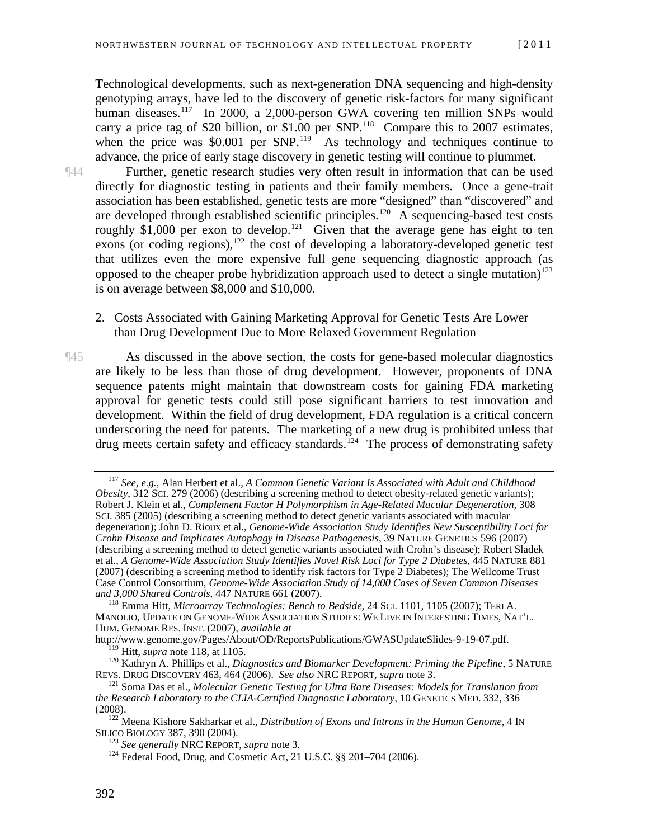Technological developments, such as next-generation DNA sequencing and high-density genotyping arrays, have led to the discovery of genetic risk-factors for many significant human diseases.<sup>117</sup> In 2000, a 2,000-person GWA covering ten million SNPs would carry a price tag of \$20 billion, or \$1.00 per SNP.<sup>118</sup> Compare this to 2007 estimates, when the price was  $$0.001$  per SNP.<sup>119</sup> As technology and techniques continue to advance, the price of early stage discovery in genetic testing will continue to plummet.

¶44 Further, genetic research studies very often result in information that can be used directly for diagnostic testing in patients and their family members. Once a gene-trait association has been established, genetic tests are more "designed" than "discovered" and are developed through established scientific principles.<sup>[120](#page-17-0)</sup> A sequencing-based test costs roughly  $$1,000$  per exon to develop.<sup>[121](#page-17-1)</sup> Given that the average gene has eight to ten exons (or coding regions), $122$  the cost of developing a laboratory-developed genetic test that utilizes even the more expensive full gene sequencing diagnostic approach (as opposed to the cheaper probe hybridization approach used to detect a single mutation)<sup>[123](#page-17-3)</sup> is on average between \$8,000 and \$10,000.

2. Costs Associated with Gaining Marketing Approval for Genetic Tests Are Lower than Drug Development Due to More Relaxed Government Regulation

¶45 As discussed in the above section, the costs for gene-based molecular diagnostics are likely to be less than those of drug development. However, proponents of DNA sequence patents might maintain that downstream costs for gaining FDA marketing approval for genetic tests could still pose significant barriers to test innovation and development. Within the field of drug development, FDA regulation is a critical concern underscoring the need for patents. The marketing of a new drug is prohibited unless that drug meets certain safety and efficacy standards.<sup>[124](#page-17-4)</sup> The process of demonstrating safety

<sup>117</sup> *See, e.g.,* Alan Herbert et al., *A Common Genetic Variant Is Associated with Adult and Childhood Obesity*, 312 SCI. 279 (2006) (describing a screening method to detect obesity-related genetic variants); Robert J. Klein et al., *Complement Factor H Polymorphism in Age-Related Macular Degeneration*, 308 SCI. 385 (2005) (describing a screening method to detect genetic variants associated with macular degeneration); John D. Rioux et al., *Genome-Wide Association Study Identifies New Susceptibility Loci for Crohn Disease and Implicates Autophagy in Disease Pathogenesis*, 39 NATURE GENETICS 596 (2007) (describing a screening method to detect genetic variants associated with Crohn's disease); Robert Sladek et al., *A Genome-Wide Association Study Identifies Novel Risk Loci for Type 2 Diabetes*, 445 NATURE 881 (2007) (describing a screening method to identify risk factors for Type 2 Diabetes); The Wellcome Trust Case Control Consortium, *Genome-Wide Association Study of 14,000 Cases of Seven Common Diseases* 

<sup>&</sup>lt;sup>118</sup> Emma Hitt, *Microarray Technologies: Bench to Bedside*, 24 SCI. 1101, 1105 (2007); TERI A. MANOLIO, UPDATE ON GENOME-WIDE ASSOCIATION STUDIES: WE LIVE IN INTERESTING TIMES, NAT'L. HUM. GENOME RES. INST. (2007), *available at* 

http://www.genome.gov/Pages/About/OD/ReportsPublications/GWASUpdateSlides-9-19-07.pdf.<br><sup>119</sup> Hitt, *supra* note 118, at 1105.

<span id="page-17-0"></span><sup>&</sup>lt;sup>120</sup> Kathryn A. Phillips et al., *Diagnostics and Biomarker Development: Priming the Pipeline*, 5 NATURE REVS. DRUG DISCOVERY 463, 464 (2006). See also NRC REPORT, *supra* note 3.

<span id="page-17-1"></span><sup>&</sup>lt;sup>121</sup> Soma Das et al., *Molecular Genetic Testing for Ultra Rare Diseases: Models for Translation from the Research Laboratory to the CLIA-Certified Diagnostic Laboratory*, 10 GENETICS MED. 332, 336

<span id="page-17-4"></span><span id="page-17-3"></span><span id="page-17-2"></span><sup>(2008). 122</sup> Meena Kishore Sakharkar et al., *Distribution of Exons and Introns in the Human Genome*, 4 IN

<sup>&</sup>lt;sup>123</sup> See generally NRC REPORT, *supra* note 3.<br><sup>124</sup> Federal Food, Drug, and Cosmetic Act, 21 U.S.C. §§ 201–704 (2006).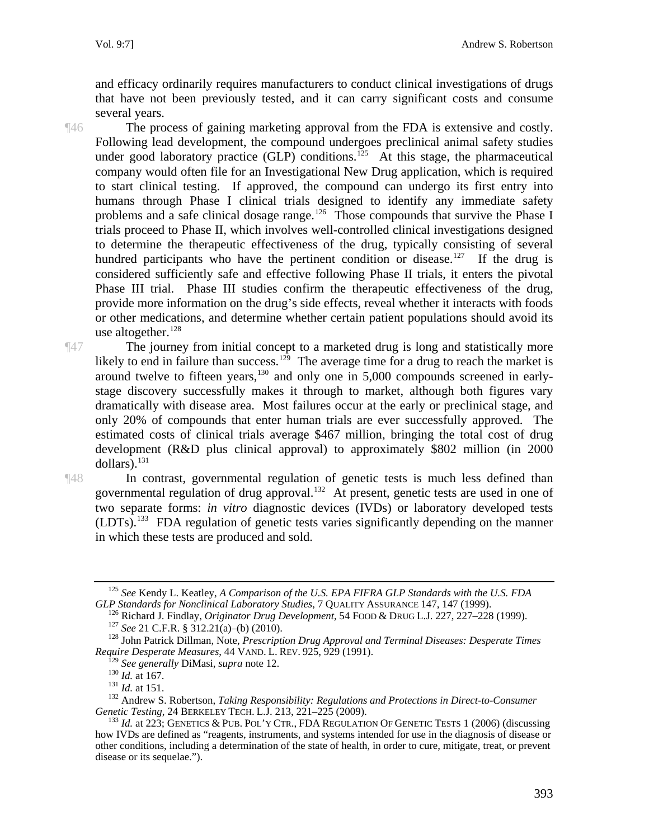and efficacy ordinarily requires manufacturers to conduct clinical investigations of drugs that have not been previously tested, and it can carry significant costs and consume several years.

¶46 The process of gaining marketing approval from the FDA is extensive and costly. Following lead development, the compound undergoes preclinical animal safety studies under good laboratory practice (GLP) conditions.<sup>[125](#page-18-0)</sup> At this stage, the pharmaceutical company would often file for an Investigational New Drug application, which is required to start clinical testing. If approved, the compound can undergo its first entry into humans through Phase I clinical trials designed to identify any immediate safety problems and a safe clinical dosage range.<sup>[126](#page-18-1)</sup> Those compounds that survive the Phase I trials proceed to Phase II, which involves well-controlled clinical investigations designed to determine the therapeutic effectiveness of the drug, typically consisting of several hundred participants who have the pertinent condition or disease.<sup>[127](#page-18-2)</sup> If the drug is considered sufficiently safe and effective following Phase II trials, it enters the pivotal Phase III trial. Phase III studies confirm the therapeutic effectiveness of the drug, provide more information on the drug's side effects, reveal whether it interacts with foods or other medications, and determine whether certain patient populations should avoid its use altogether.<sup>128</sup>

¶47 The journey from initial concept to a marketed drug is long and statistically more likely to end in failure than success.<sup>[129](#page-18-4)</sup> The average time for a drug to reach the market is around twelve to fifteen years,[130](#page-18-5) and only one in 5,000 compounds screened in earlystage discovery successfully makes it through to market, although both figures vary dramatically with disease area. Most failures occur at the early or preclinical stage, and only 20% of compounds that enter human trials are ever successfully approved. The estimated costs of clinical trials average \$467 million, bringing the total cost of drug development (R&D plus clinical approval) to approximately \$802 million (in 2000 dollars).<sup>[131](#page-18-6)</sup>

¶48 In contrast, governmental regulation of genetic tests is much less defined than governmental regulation of drug approval.<sup>[132](#page-18-7)</sup> At present, genetic tests are used in one of two separate forms: *in vitro* diagnostic devices (IVDs) or laboratory developed tests (LDTs)[.133](#page-18-8) FDA regulation of genetic tests varies significantly depending on the manner in which these tests are produced and sold.

<span id="page-18-0"></span><sup>&</sup>lt;sup>125</sup> *See* Kendy L. Keatley, *A Comparison of the U.S. EPA FIFRA GLP Standards with the U.S. FDA GLP Standards for Nonclinical Laboratory Studies, 7 QUALITY ASSURANCE 147, 147 (1999).* 

<sup>&</sup>lt;sup>126</sup> Richard J. Findlay, *Originator Drug Development*, 54 FOOD & DRUG L.J. 227, 227–228 (1999).<br><sup>127</sup> *See* 21 C.F.R. § 312.21(a)–(b) (2010).<br><sup>128</sup> John Patrick Dillman, Note, *Prescription Drug Approval and Terminal Di* 

<span id="page-18-3"></span><span id="page-18-2"></span><span id="page-18-1"></span>*Require Desperate Measures*, 44 VAND. L. REV. 925, 929 (1991).<br><sup>129</sup> *See generally DiMasi, supra note 12*.

<span id="page-18-6"></span><span id="page-18-5"></span><span id="page-18-4"></span><sup>130</sup> *Id.* at 167.<br><sup>131</sup> *Id.* at 151.<br><sup>131</sup> Andrew S. Robertson, *Taking Responsibility: Regulations and Protections in Direct-to-Consumer Genetic Testing, 24 BERKELEY TECH. L.J. 213, 221–225 (2009).* 

<span id="page-18-8"></span><span id="page-18-7"></span><sup>&</sup>lt;sup>133</sup> Id. at 223; GENETICS & PUB. POL'Y CTR., FDA REGULATION OF GENETIC TESTS 1 (2006) (discussing how IVDs are defined as "reagents, instruments, and systems intended for use in the diagnosis of disease or other conditions, including a determination of the state of health, in order to cure, mitigate, treat, or prevent disease or its sequelae.").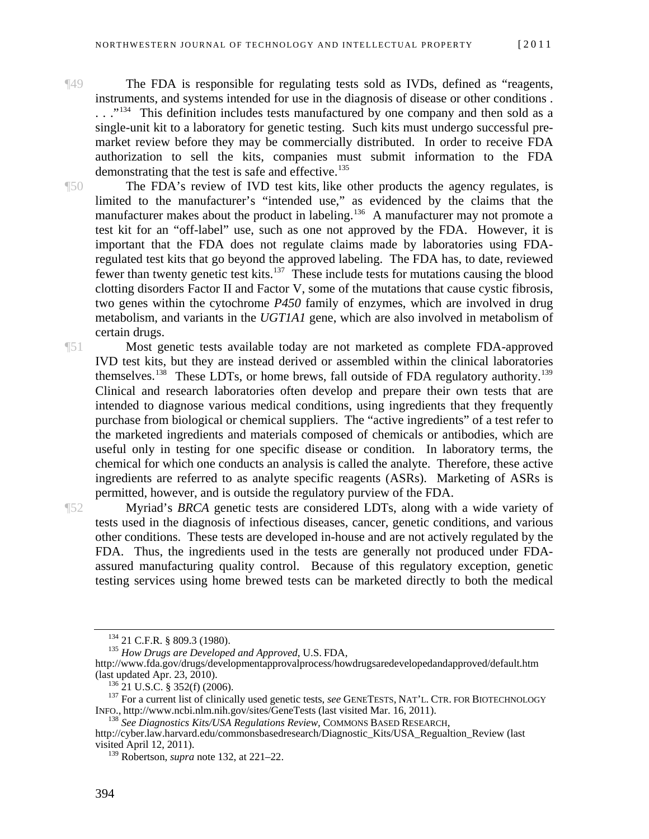- ¶49 The FDA is responsible for regulating tests sold as IVDs, defined as "reagents, instruments, and systems intended for use in the diagnosis of disease or other conditions . . . . . . . . . . . . . This definition includes tests manufactured by one company and then sold as a single-unit kit to a laboratory for genetic testing. Such kits must undergo successful premarket review before they may be commercially distributed. In order to receive FDA authorization to sell the kits, companies must submit information to the FDA demonstrating that the test is safe and effective.<sup>[135](#page-19-1)</sup>
- 

¶50 The FDA's review of IVD test kits, like other products the agency regulates, is limited to the manufacturer's "intended use," as evidenced by the claims that the manufacturer makes about the product in labeling.<sup>[136](#page-19-2)</sup> A manufacturer may not promote a test kit for an "off-label" use, such as one not approved by the FDA. However, it is important that the FDA does not regulate claims made by laboratories using FDAregulated test kits that go beyond the approved labeling. The FDA has, to date, reviewed fewer than twenty genetic test kits. $137$  These include tests for mutations causing the blood clotting disorders Factor II and Factor V, some of the mutations that cause cystic fibrosis, two genes within the cytochrome *P450* family of enzymes, which are involved in drug metabolism, and variants in the *UGT1A1* gene, which are also involved in metabolism of certain drugs.

¶51 Most genetic tests available today are not marketed as complete FDA-approved IVD test kits, but they are instead derived or assembled within the clinical laboratories themselves.<sup>[138](#page-19-4)</sup> These LDTs, or home brews, fall outside of FDA regulatory authority.<sup>139</sup> Clinical and research laboratories often develop and prepare their own tests that are intended to diagnose various medical conditions, using ingredients that they frequently purchase from biological or chemical suppliers. The "active ingredients" of a test refer to the marketed ingredients and materials composed of chemicals or antibodies, which are useful only in testing for one specific disease or condition. In laboratory terms, the chemical for which one conducts an analysis is called the analyte. Therefore, these active ingredients are referred to as analyte specific reagents (ASRs). Marketing of ASRs is permitted, however, and is outside the regulatory purview of the FDA.

¶52 Myriad's *BRCA* genetic tests are considered LDTs, along with a wide variety of tests used in the diagnosis of infectious diseases, cancer, genetic conditions, and various other conditions. These tests are developed in-house and are not actively regulated by the FDA. Thus, the ingredients used in the tests are generally not produced under FDAassured manufacturing quality control. Because of this regulatory exception, genetic testing services using home brewed tests can be marketed directly to both the medical

<sup>&</sup>lt;sup>134</sup> 21 C.F.R. § 809.3 (1980).<br><sup>135</sup> *How Drugs are Developed and Approved*, U.S. FDA,

<span id="page-19-1"></span><span id="page-19-0"></span>http://www.fda.gov/drugs/developmentapprovalprocess/howdrugsaredevelopedandapproved/default.htm

<span id="page-19-3"></span><span id="page-19-2"></span><sup>&</sup>lt;sup>136</sup> 21 U.S.C. § 352(f) (2006).<br><sup>137</sup> For a current list of clinically used genetic tests, *see* GENETESTS, NAT'L. CTR. FOR BIOTECHNOLOGY<br>INFO., http://www.ncbi.nlm.nih.gov/sites/GeneTests (last visited Mar. 16, 2011).

<sup>&</sup>lt;sup>138</sup> See Diagnostics Kits/USA Regulations Review, COMMONS BASED RESEARCH,

<span id="page-19-5"></span><span id="page-19-4"></span>http://cyber.law.harvard.edu/commonsbasedresearch/Diagnostic\_Kits/USA\_Regualtion\_Review (last visited April 12, 2011).

<sup>139</sup> Robertson, *supra* note 132, at 221–22.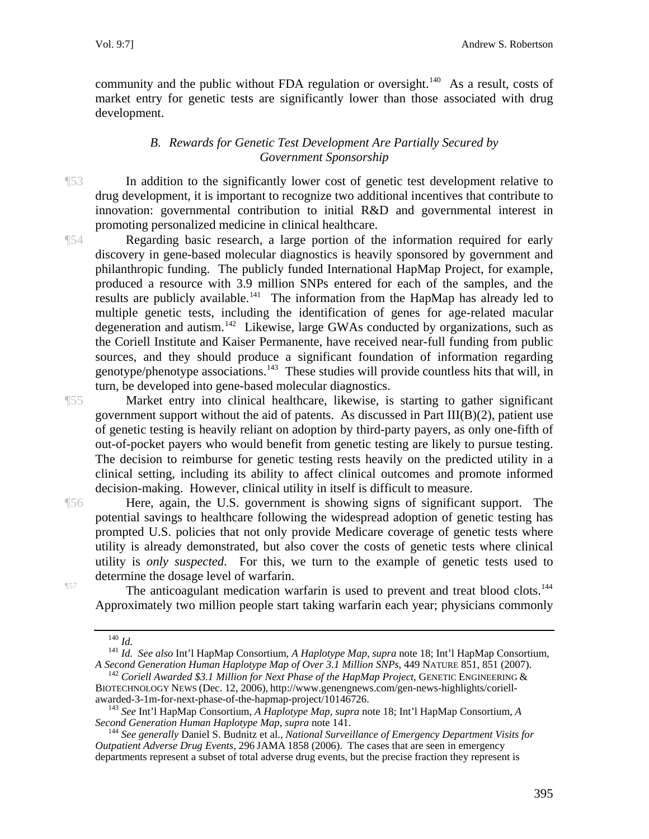community and the public without FDA regulation or oversight.<sup>140</sup> As a result, costs of market entry for genetic tests are significantly lower than those associated with drug development.

#### *B. Rewards for Genetic Test Development Are Partially Secured by Government Sponsorship*

¶53 In addition to the significantly lower cost of genetic test development relative to drug development, it is important to recognize two additional incentives that contribute to innovation: governmental contribution to initial R&D and governmental interest in promoting personalized medicine in clinical healthcare.

¶54 Regarding basic research, a large portion of the information required for early discovery in gene-based molecular diagnostics is heavily sponsored by government and philanthropic funding. The publicly funded International HapMap Project, for example, produced a resource with 3.9 million SNPs entered for each of the samples, and the results are publicly available.<sup>[141](#page-20-0)</sup> The information from the HapMap has already led to multiple genetic tests, including the identification of genes for age-related macular degeneration and autism.<sup>[142](#page-20-1)</sup> Likewise, large GWAs conducted by organizations, such as the Coriell Institute and Kaiser Permanente, have received near-full funding from public sources, and they should produce a significant foundation of information regarding genotype/phenotype associations.<sup>[143](#page-20-2)</sup> These studies will provide countless hits that will, in turn, be developed into gene-based molecular diagnostics.

¶55 Market entry into clinical healthcare, likewise, is starting to gather significant government support without the aid of patents. As discussed in Part III(B)(2), patient use of genetic testing is heavily reliant on adoption by third-party payers, as only one-fifth of out-of-pocket payers who would benefit from genetic testing are likely to pursue testing. The decision to reimburse for genetic testing rests heavily on the predicted utility in a clinical setting, including its ability to affect clinical outcomes and promote informed decision-making. However, clinical utility in itself is difficult to measure.

¶56 Here, again, the U.S. government is showing signs of significant support. The potential savings to healthcare following the widespread adoption of genetic testing has prompted U.S. policies that not only provide Medicare coverage of genetic tests where utility is already demonstrated, but also cover the costs of genetic tests where clinical utility is *only suspected*. For this, we turn to the example of genetic tests used to determine the dosage level of warfarin.

<span id="page-20-0"></span>

 $\frac{157}{157}$  The anticoagulant medication warfarin is used to prevent and treat blood clots.<sup>144</sup> Approximately two million people start taking warfarin each year; physicians commonly

<sup>&</sup>lt;sup>140</sup> *Id. Id. See also* Int'l HapMap Consortium, *A Haplotype Map*, *supra* note 18; Int'l HapMap Consortium, *A Second Generation Human Haplotype Map of Over 3.1 Million SNPs*, 449 NATURE 851, 851 (2007).

<span id="page-20-1"></span><sup>&</sup>lt;sup>142</sup> Coriell Awarded \$3.1 Million for Next Phase of the HapMap Project, GENETIC ENGINEERING & BIOTECHNOLOGY NEWS (Dec. 12, 2006), http://www.genengnews.com/gen-news-highlights/coriell-awarded-3-1m-for-next-phase-of-the-hapmap-project/10146726.

<span id="page-20-2"></span><sup>&</sup>lt;sup>143</sup> See Int'l HapMap Consortium, *A Haplotype Map, supra* note 18; Int'l HapMap Consortium, *A Second Generation Human Haplotype Map, supra* note 141.

<span id="page-20-3"></span><sup>&</sup>lt;sup>144</sup> See generally Daniel S. Budnitz et al., *National Surveillance of Emergency Department Visits for Outpatient Adverse Drug Events*, 296 JAMA 1858 (2006). The cases that are seen in emergency departments represent a subset of total adverse drug events, but the precise fraction they represent is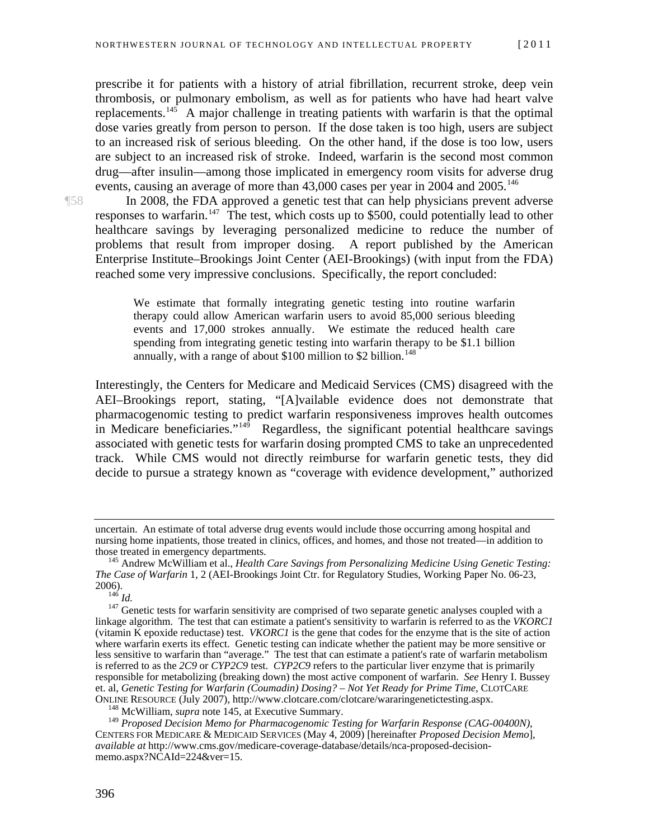prescribe it for patients with a history of atrial fibrillation, recurrent stroke, deep vein thrombosis, or pulmonary embolism, as well as for patients who have had heart valve replacements.<sup>145</sup> A major challenge in treating patients with warfarin is that the optimal dose varies greatly from person to person. If the dose taken is too high, users are subject to an increased risk of serious bleeding. On the other hand, if the dose is too low, users are subject to an increased risk of stroke. Indeed, warfarin is the second most common drug—after insulin—among those implicated in emergency room visits for adverse drug events, causing an average of more than 43,000 cases per year in 2004 and 2005.<sup>146</sup>

¶58 In 2008, the FDA approved a genetic test that can help physicians prevent adverse responses to warfarin.<sup>[147](#page-21-0)</sup> The test, which costs up to \$500, could potentially lead to other healthcare savings by leveraging personalized medicine to reduce the number of problems that result from improper dosing. A report published by the American Enterprise Institute–Brookings Joint Center (AEI-Brookings) (with input from the FDA) reached some very impressive conclusions. Specifically, the report concluded:

> We estimate that formally integrating genetic testing into routine warfarin therapy could allow American warfarin users to avoid 85,000 serious bleeding events and 17,000 strokes annually. We estimate the reduced health care spending from integrating genetic testing into warfarin therapy to be \$1.1 billion annually, with a range of about  $$100$  million to  $$2$  billion.<sup>[148](#page-21-1)</sup>

Interestingly, the Centers for Medicare and Medicaid Services (CMS) disagreed with the AEI–Brookings report, stating, "[A]vailable evidence does not demonstrate that pharmacogenomic testing to predict warfarin responsiveness improves health outcomes in Medicare beneficiaries."<sup>[149](#page-21-2)</sup> Regardless, the significant potential healthcare savings associated with genetic tests for warfarin dosing prompted CMS to take an unprecedented track. While CMS would not directly reimburse for warfarin genetic tests, they did decide to pursue a strategy known as "coverage with evidence development," authorized

uncertain. An estimate of total adverse drug events would include those occurring among hospital and nursing home inpatients, those treated in clinics, offices, and homes, and those not treated—in addition to those treated in emergency departments. 145 Andrew McWilliam et al., *Health Care Savings from Personalizing Medicine Using Genetic Testing:* 

*The Case of Warfarin* 1, 2 (AEI-Brookings Joint Ctr. for Regulatory Studies, Working Paper No. 06-23,

<span id="page-21-0"></span><sup>&</sup>lt;sup>2146</sup> *Id.*<br><sup>146</sup> *Id.* Cenetic tests for warfarin sensitivity are comprised of two separate genetic analyses coupled with a linkage algorithm. The test that can estimate a patient's sensitivity to warfarin is referred to as the *VKORC1* (vitamin K epoxide reductase) test. *VKORC1* is the gene that codes for the enzyme that is the site of action where warfarin exerts its effect. Genetic testing can indicate whether the patient may be more sensitive or less sensitive to warfarin than "average." The test that can estimate a patient's rate of warfarin metabolism is referred to as the *2C9* or *CYP2C9* test. *CYP2C9* refers to the particular liver enzyme that is primarily responsible for metabolizing (breaking down) the most active component of warfarin. *See* Henry I. Bussey et. al, *Genetic Testing for Warfarin (Coumadin) Dosing? - Not Yet Ready for Prime Time, CLOTCARE* ONLINE RESOURCE (July 2007), http://www.clotcare.com/clotcare/wararingenetictesting.aspx. 148 McWilliam, *supra* note 145, at Executive Summary.

<span id="page-21-2"></span><span id="page-21-1"></span><sup>149</sup> *Proposed Decision Memo for Pharmacogenomic Testing for Warfarin Response (CAG-00400N)*, CENTERS FOR MEDICARE & MEDICAID SERVICES (May 4, 2009) [hereinafter *Proposed Decision Memo*], *available at* http://www.cms.gov/medicare-coverage-database/details/nca-proposed-decisionmemo.aspx?NCAId=224&ver=15.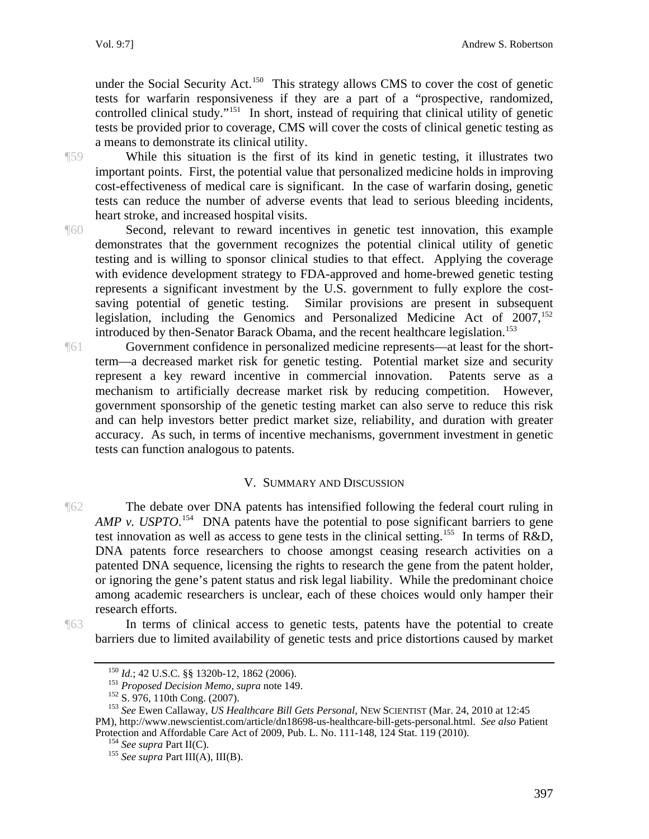under the Social Security Act.<sup>150</sup> This strategy allows CMS to cover the cost of genetic tests for warfarin responsiveness if they are a part of a "prospective, randomized, controlled clinical study."151 In short, instead of requiring that clinical utility of genetic tests be provided prior to coverage, CMS will cover the costs of clinical genetic testing as a means to demonstrate its clinical utility.

¶59 While this situation is the first of its kind in genetic testing, it illustrates two important points. First, the potential value that personalized medicine holds in improving cost-effectiveness of medical care is significant. In the case of warfarin dosing, genetic tests can reduce the number of adverse events that lead to serious bleeding incidents, heart stroke, and increased hospital visits.

- ¶60 Second, relevant to reward incentives in genetic test innovation, this example demonstrates that the government recognizes the potential clinical utility of genetic testing and is willing to sponsor clinical studies to that effect. Applying the coverage with evidence development strategy to FDA-approved and home-brewed genetic testing represents a significant investment by the U.S. government to fully explore the costsaving potential of genetic testing. Similar provisions are present in subsequent legislation, including the Genomics and Personalized Medicine Act of  $2007$ ,<sup>[152](#page-22-0)</sup> introduced by then-Senator Barack Obama, and the recent healthcare legislation.<sup>[153](#page-22-1)</sup>
- ¶61 Government confidence in personalized medicine represents—at least for the shortterm—a decreased market risk for genetic testing. Potential market size and security represent a key reward incentive in commercial innovation. Patents serve as a mechanism to artificially decrease market risk by reducing competition. However, government sponsorship of the genetic testing market can also serve to reduce this risk and can help investors better predict market size, reliability, and duration with greater accuracy. As such, in terms of incentive mechanisms, government investment in genetic tests can function analogous to patents.

#### V. SUMMARY AND DISCUSSION

¶62 The debate over DNA patents has intensified following the federal court ruling in *AMP v. USPTO*.<sup>[154](#page-22-2)</sup> DNA patents have the potential to pose significant barriers to gene test innovation as well as access to gene tests in the clinical setting.<sup>[155](#page-22-3)</sup> In terms of  $R&D$ , DNA patents force researchers to choose amongst ceasing research activities on a patented DNA sequence, licensing the rights to research the gene from the patent holder, or ignoring the gene's patent status and risk legal liability. While the predominant choice among academic researchers is unclear, each of these choices would only hamper their research efforts.

<span id="page-22-0"></span>

¶63 In terms of clinical access to genetic tests, patents have the potential to create barriers due to limited availability of genetic tests and price distortions caused by market

<span id="page-22-1"></span><sup>&</sup>lt;sup>150</sup> *Id.*; 42 U.S.C. §§ 1320b-12, 1862 (2006).<br><sup>151</sup> *Proposed Decision Memo, supra* note 149.<br><sup>152</sup> S. 976, 110th Cong. (2007).<br><sup>153</sup> *See* Ewen Callaway, *US Healthcare Bill Gets Personal*, NEW SCIENTIST (Mar. 24, 201 PM), http://www.newscientist.com/article/dn18698-us-healthcare-bill-gets-personal.html. *See also* Patient Protection and Affordable Care Act of 2009, Pub. L. No. 111-148, 124 Stat. 119 (2010). 154 *See supra* Part II(C). 155 *See supra* Part III(A), III(B).

<span id="page-22-3"></span><span id="page-22-2"></span>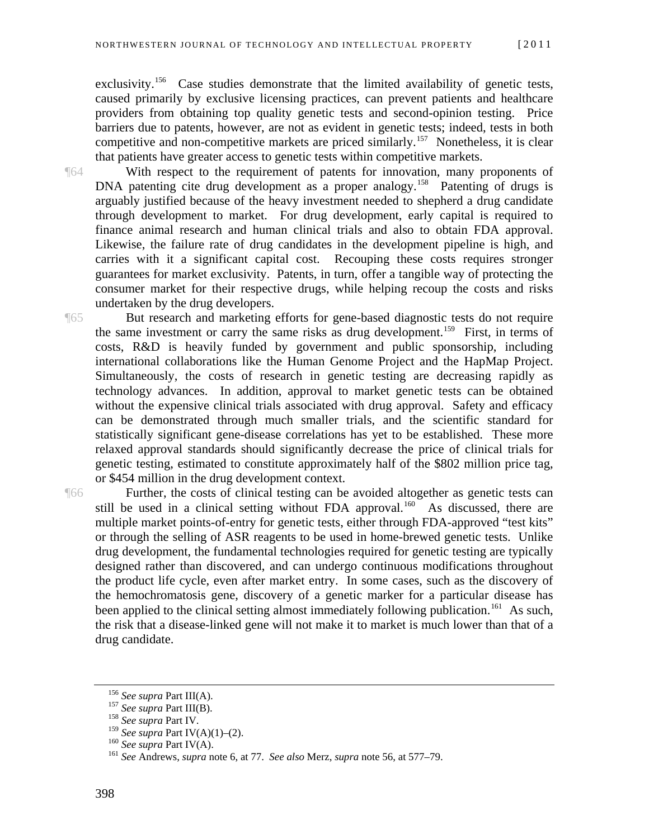exclusivity.<sup>156</sup> Case studies demonstrate that the limited availability of genetic tests, caused primarily by exclusive licensing practices, can prevent patients and healthcare providers from obtaining top quality genetic tests and second-opinion testing. Price barriers due to patents, however, are not as evident in genetic tests; indeed, tests in both competitive and non-competitive markets are priced similarly.<sup>157</sup> Nonetheless, it is clear that patients have greater access to genetic tests within competitive markets.

¶64 With respect to the requirement of patents for innovation, many proponents of DNA patenting cite drug development as a proper analogy.<sup>[158](#page-23-0)</sup> Patenting of drugs is arguably justified because of the heavy investment needed to shepherd a drug candidate through development to market. For drug development, early capital is required to finance animal research and human clinical trials and also to obtain FDA approval. Likewise, the failure rate of drug candidates in the development pipeline is high, and carries with it a significant capital cost. Recouping these costs requires stronger guarantees for market exclusivity. Patents, in turn, offer a tangible way of protecting the consumer market for their respective drugs, while helping recoup the costs and risks undertaken by the drug developers.

¶65 But research and marketing efforts for gene-based diagnostic tests do not require the same investment or carry the same risks as drug development.<sup>[159](#page-23-1)</sup> First, in terms of costs, R&D is heavily funded by government and public sponsorship, including international collaborations like the Human Genome Project and the HapMap Project. Simultaneously, the costs of research in genetic testing are decreasing rapidly as technology advances. In addition, approval to market genetic tests can be obtained without the expensive clinical trials associated with drug approval. Safety and efficacy can be demonstrated through much smaller trials, and the scientific standard for statistically significant gene-disease correlations has yet to be established. These more relaxed approval standards should significantly decrease the price of clinical trials for genetic testing, estimated to constitute approximately half of the \$802 million price tag, or \$454 million in the drug development context.

¶66 Further, the costs of clinical testing can be avoided altogether as genetic tests can still be used in a clinical setting without FDA approval.<sup>[160](#page-23-2)</sup> As discussed, there are multiple market points-of-entry for genetic tests, either through FDA-approved "test kits" or through the selling of ASR reagents to be used in home-brewed genetic tests. Unlike drug development, the fundamental technologies required for genetic testing are typically designed rather than discovered, and can undergo continuous modifications throughout the product life cycle, even after market entry. In some cases, such as the discovery of the hemochromatosis gene, discovery of a genetic marker for a particular disease has been applied to the clinical setting almost immediately following publication.<sup>[161](#page-23-3)</sup> As such, the risk that a disease-linked gene will not make it to market is much lower than that of a drug candidate.

<span id="page-23-0"></span>

<sup>156</sup> *See supra* Part III(A). 157 *See supra* Part III(B). 158 *See supra* Part IV.

<span id="page-23-3"></span>

<span id="page-23-2"></span><span id="page-23-1"></span><sup>&</sup>lt;sup>160</sup> *See supra* Part IV(A).<br><sup>161</sup> *See* Andrews, *supra* note 6, at 77. *See also* Merz, *supra* note 56, at 577–79.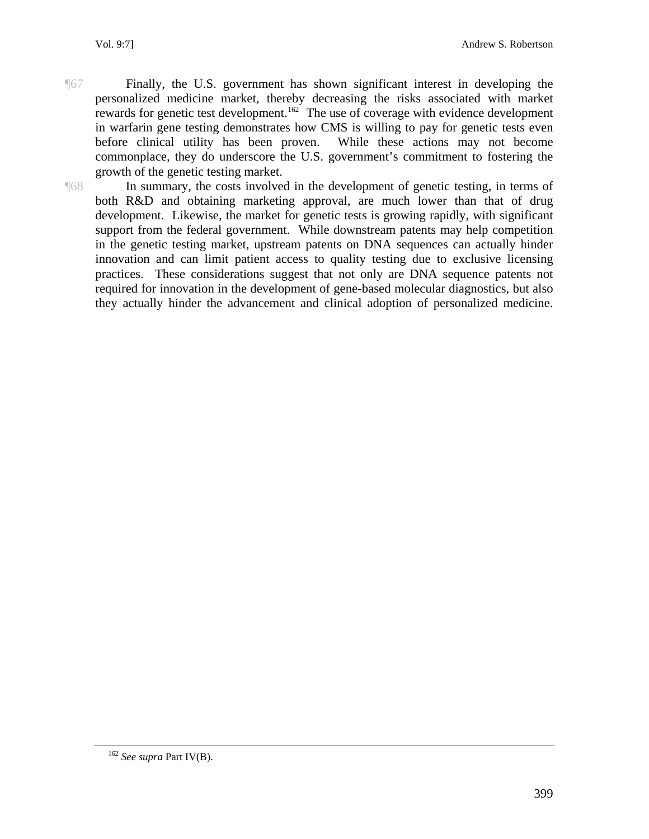¶67 Finally, the U.S. government has shown significant interest in developing the personalized medicine market, thereby decreasing the risks associated with market rewards for genetic test development.<sup>[162](#page-24-0)</sup> The use of coverage with evidence development in warfarin gene testing demonstrates how CMS is willing to pay for genetic tests even before clinical utility has been proven. While these actions may not become commonplace, they do underscore the U.S. government's commitment to fostering the growth of the genetic testing market.

¶68 In summary, the costs involved in the development of genetic testing, in terms of both R&D and obtaining marketing approval, are much lower than that of drug development. Likewise, the market for genetic tests is growing rapidly, with significant support from the federal government. While downstream patents may help competition in the genetic testing market, upstream patents on DNA sequences can actually hinder innovation and can limit patient access to quality testing due to exclusive licensing practices. These considerations suggest that not only are DNA sequence patents not required for innovation in the development of gene-based molecular diagnostics, but also they actually hinder the advancement and clinical adoption of personalized medicine.

<span id="page-24-0"></span><sup>162</sup> *See supra* Part IV(B).